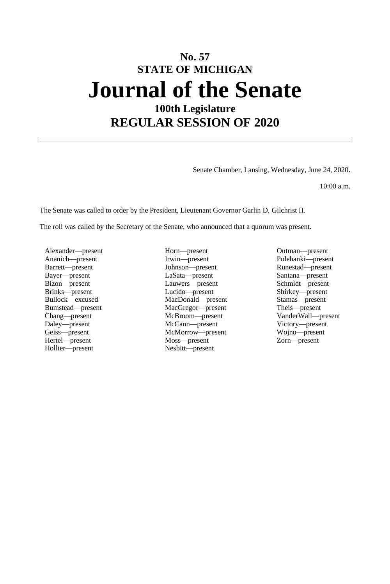# **No. 57 STATE OF MICHIGAN Journal of the Senate 100th Legislature**

**REGULAR SESSION OF 2020**

Senate Chamber, Lansing, Wednesday, June 24, 2020.

10:00 a.m.

The Senate was called to order by the President, Lieutenant Governor Garlin D. Gilchrist II.

The roll was called by the Secretary of the Senate, who announced that a quorum was present.

Alexander—present Horn—present Horn—present Outman—present Outman—present Ananich—present Polehanki—present Bizon—present Lauwers—present Rinks—present Lucido—present Hollier—present Nesbitt—present

Ananich—present Irwin—present Polehanki—present Barrett—present Johnson—present Runestad—present Bayer—present LaSata—present Santana—present Bullock—excused MacDonald—present Stamas—present Bumstead—present MacGregor—present Chang—present McBroom—present McCann—present Victory—present Geiss—present McMorrow—present Wojno—present Hertel—present Moss—present Zorn—present

Shirkey—present Chang—present McBroom—present VanderWall—present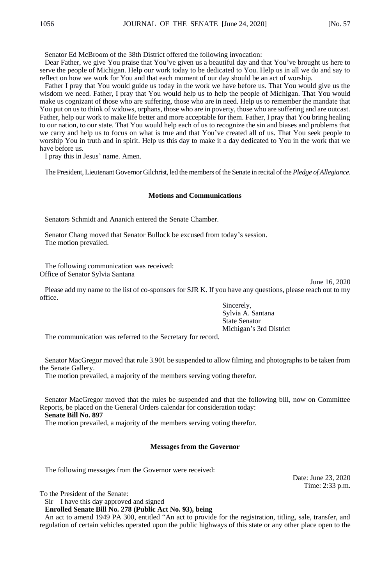Senator Ed McBroom of the 38th District offered the following invocation:

Dear Father, we give You praise that You've given us a beautiful day and that You've brought us here to serve the people of Michigan. Help our work today to be dedicated to You. Help us in all we do and say to reflect on how we work for You and that each moment of our day should be an act of worship.

Father I pray that You would guide us today in the work we have before us. That You would give us the wisdom we need. Father, I pray that You would help us to help the people of Michigan. That You would make us cognizant of those who are suffering, those who are in need. Help us to remember the mandate that You put on us to think of widows, orphans, those who are in poverty, those who are suffering and are outcast. Father, help our work to make life better and more acceptable for them. Father, I pray that You bring healing to our nation, to our state. That You would help each of us to recognize the sin and biases and problems that we carry and help us to focus on what is true and that You've created all of us. That You seek people to worship You in truth and in spirit. Help us this day to make it a day dedicated to You in the work that we have before us.

I pray this in Jesus' name. Amen.

The President, Lieutenant Governor Gilchrist, led the members of the Senate in recital of the *Pledge of Allegiance*.

## **Motions and Communications**

Senators Schmidt and Ananich entered the Senate Chamber.

Senator Chang moved that Senator Bullock be excused from today's session. The motion prevailed.

The following communication was received: Office of Senator Sylvia Santana

Please add my name to the list of co-sponsors for SJR K. If you have any questions, please reach out to my office.

> Sincerely, Sylvia A. Santana State Senator Michigan's 3rd District

The communication was referred to the Secretary for record.

Senator MacGregor moved that rule 3.901 be suspended to allow filming and photographs to be taken from the Senate Gallery.

The motion prevailed, a majority of the members serving voting therefor.

Senator MacGregor moved that the rules be suspended and that the following bill, now on Committee Reports, be placed on the General Orders calendar for consideration today:

**Senate Bill No. 897**

The motion prevailed, a majority of the members serving voting therefor.

## **Messages from the Governor**

The following messages from the Governor were received:

Date: June 23, 2020 Time: 2:33 p.m.

June 16, 2020

To the President of the Senate:

Sir—I have this day approved and signed

**Enrolled Senate Bill No. 278 (Public Act No. 93), being**

An act to amend 1949 PA 300, entitled "An act to provide for the registration, titling, sale, transfer, and regulation of certain vehicles operated upon the public highways of this state or any other place open to the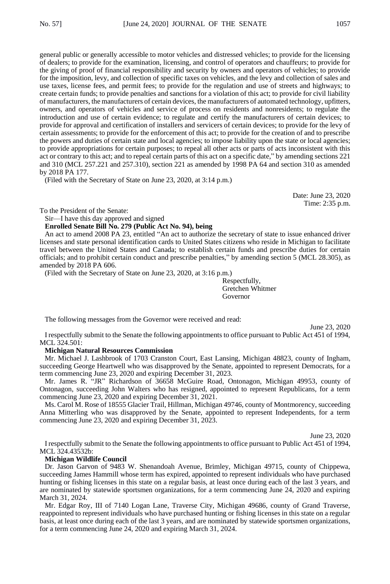general public or generally accessible to motor vehicles and distressed vehicles; to provide for the licensing of dealers; to provide for the examination, licensing, and control of operators and chauffeurs; to provide for the giving of proof of financial responsibility and security by owners and operators of vehicles; to provide for the imposition, levy, and collection of specific taxes on vehicles, and the levy and collection of sales and use taxes, license fees, and permit fees; to provide for the regulation and use of streets and highways; to create certain funds; to provide penalties and sanctions for a violation of this act; to provide for civil liability of manufacturers, the manufacturers of certain devices, the manufacturers of automated technology, upfitters, owners, and operators of vehicles and service of process on residents and nonresidents; to regulate the introduction and use of certain evidence; to regulate and certify the manufacturers of certain devices; to provide for approval and certification of installers and servicers of certain devices; to provide for the levy of certain assessments; to provide for the enforcement of this act; to provide for the creation of and to prescribe the powers and duties of certain state and local agencies; to impose liability upon the state or local agencies; to provide appropriations for certain purposes; to repeal all other acts or parts of acts inconsistent with this act or contrary to this act; and to repeal certain parts of this act on a specific date," by amending sections 221 and 310 (MCL 257.221 and 257.310), section 221 as amended by 1998 PA 64 and section 310 as amended by 2018 PA 177.

(Filed with the Secretary of State on June 23, 2020, at 3:14 p.m.)

Date: June 23, 2020 Time: 2:35 p.m.

To the President of the Senate:

Sir—I have this day approved and signed

## **Enrolled Senate Bill No. 279 (Public Act No. 94), being**

An act to amend 2008 PA 23, entitled "An act to authorize the secretary of state to issue enhanced driver licenses and state personal identification cards to United States citizens who reside in Michigan to facilitate travel between the United States and Canada; to establish certain funds and prescribe duties for certain officials; and to prohibit certain conduct and prescribe penalties," by amending section 5 (MCL 28.305), as amended by 2018 PA 606.

(Filed with the Secretary of State on June 23, 2020, at 3:16 p.m.)

Respectfully, Gretchen Whitmer Governor

The following messages from the Governor were received and read:

June 23, 2020

I respectfully submit to the Senate the following appointments to office pursuant to Public Act 451 of 1994, MCL 324.501:

## **Michigan Natural Resources Commission**

Mr. Michael J. Lashbrook of 1703 Cranston Court, East Lansing, Michigan 48823, county of Ingham, succeeding George Heartwell who was disapproved by the Senate, appointed to represent Democrats, for a term commencing June 23, 2020 and expiring December 31, 2023.

Mr. James R. "JR" Richardson of 36658 McGuire Road, Ontonagon, Michigan 49953, county of Ontonagon, succeeding John Walters who has resigned, appointed to represent Republicans, for a term commencing June 23, 2020 and expiring December 31, 2021.

Ms. Carol M. Rose of 18555 Glacier Trail, Hillman, Michigan 49746, county of Montmorency, succeeding Anna Mitterling who was disapproved by the Senate, appointed to represent Independents, for a term commencing June 23, 2020 and expiring December 31, 2023.

June 23, 2020

I respectfully submit to the Senate the following appointments to office pursuant to Public Act 451 of 1994, MCL 324.43532b:

#### **Michigan Wildlife Council**

Dr. Jason Garvon of 9483 W. Shenandoah Avenue, Brimley, Michigan 49715, county of Chippewa, succeeding James Hammill whose term has expired, appointed to represent individuals who have purchased hunting or fishing licenses in this state on a regular basis, at least once during each of the last 3 years, and are nominated by statewide sportsmen organizations, for a term commencing June 24, 2020 and expiring March 31, 2024.

Mr. Edgar Roy, III of 7140 Logan Lane, Traverse City, Michigan 49686, county of Grand Traverse, reappointed to represent individuals who have purchased hunting or fishing licenses in this state on a regular basis, at least once during each of the last 3 years, and are nominated by statewide sportsmen organizations, for a term commencing June 24, 2020 and expiring March 31, 2024.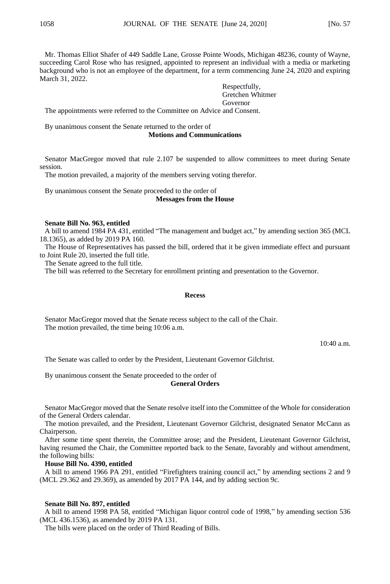Mr. Thomas Elliot Shafer of 449 Saddle Lane, Grosse Pointe Woods, Michigan 48236, county of Wayne, succeeding Carol Rose who has resigned, appointed to represent an individual with a media or marketing background who is not an employee of the department, for a term commencing June 24, 2020 and expiring March 31, 2022.

> Respectfully, Gretchen Whitmer Governor

The appointments were referred to the Committee on Advice and Consent.

By unanimous consent the Senate returned to the order of

## **Motions and Communications**

Senator MacGregor moved that rule 2.107 be suspended to allow committees to meet during Senate session.

The motion prevailed, a majority of the members serving voting therefor.

By unanimous consent the Senate proceeded to the order of **Messages from the House**

#### **Senate Bill No. 963, entitled**

A bill to amend 1984 PA 431, entitled "The management and budget act," by amending section 365 (MCL 18.1365), as added by 2019 PA 160.

The House of Representatives has passed the bill, ordered that it be given immediate effect and pursuant to Joint Rule 20, inserted the full title.

The Senate agreed to the full title.

The bill was referred to the Secretary for enrollment printing and presentation to the Governor.

#### **Recess**

Senator MacGregor moved that the Senate recess subject to the call of the Chair. The motion prevailed, the time being 10:06 a.m.

10:40 a.m.

The Senate was called to order by the President, Lieutenant Governor Gilchrist.

By unanimous consent the Senate proceeded to the order of

#### **General Orders**

Senator MacGregor moved that the Senate resolve itself into the Committee of the Whole for consideration of the General Orders calendar.

The motion prevailed, and the President, Lieutenant Governor Gilchrist, designated Senator McCann as Chairperson.

After some time spent therein, the Committee arose; and the President, Lieutenant Governor Gilchrist, having resumed the Chair, the Committee reported back to the Senate, favorably and without amendment, the following bills:

## **House Bill No. 4390, entitled**

A bill to amend 1966 PA 291, entitled "Firefighters training council act," by amending sections 2 and 9 (MCL 29.362 and 29.369), as amended by 2017 PA 144, and by adding section 9c.

#### **Senate Bill No. 897, entitled**

A bill to amend 1998 PA 58, entitled "Michigan liquor control code of 1998," by amending section 536 (MCL 436.1536), as amended by 2019 PA 131.

The bills were placed on the order of Third Reading of Bills.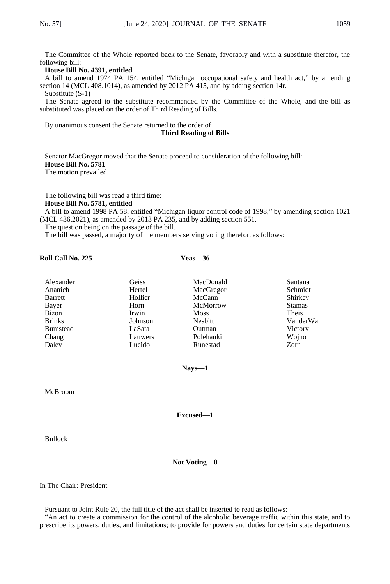The Committee of the Whole reported back to the Senate, favorably and with a substitute therefor, the following bill:

### **House Bill No. 4391, entitled**

A bill to amend 1974 PA 154, entitled "Michigan occupational safety and health act," by amending section 14 (MCL 408.1014), as amended by 2012 PA 415, and by adding section 14r. Substitute (S-1)

The Senate agreed to the substitute recommended by the Committee of the Whole, and the bill as substituted was placed on the order of Third Reading of Bills.

By unanimous consent the Senate returned to the order of

#### **Third Reading of Bills**

Senator MacGregor moved that the Senate proceed to consideration of the following bill: **House Bill No. 5781** The motion prevailed.

The following bill was read a third time:

**House Bill No. 5781, entitled**

A bill to amend 1998 PA 58, entitled "Michigan liquor control code of 1998," by amending section 1021 (MCL 436.2021), as amended by 2013 PA 235, and by adding section 551.

The question being on the passage of the bill,

The bill was passed, a majority of the members serving voting therefor, as follows:

## **Roll Call No. 225 Yeas—36**

| Alexander       | Geiss   | MacDonald   | Santana       |
|-----------------|---------|-------------|---------------|
| Ananich         | Hertel  | MacGregor   | Schmidt       |
| <b>Barrett</b>  | Hollier | McCann      | Shirkey       |
| Bayer           | Horn    | McMorrow    | <b>Stamas</b> |
| Bizon           | Irwin   | <b>Moss</b> | Theis         |
| <b>Brinks</b>   | Johnson | Nesbitt     | VanderWall    |
| <b>Bumstead</b> | LaSata  | Outman      | Victory       |
| Chang           | Lauwers | Polehanki   | Wojno         |
| Daley           | Lucido  | Runestad    | Zorn          |

**Nays—1**

McBroom

**Excused—1**

Bullock

**Not Voting—0**

In The Chair: President

Pursuant to Joint Rule 20, the full title of the act shall be inserted to read as follows:

"An act to create a commission for the control of the alcoholic beverage traffic within this state, and to prescribe its powers, duties, and limitations; to provide for powers and duties for certain state departments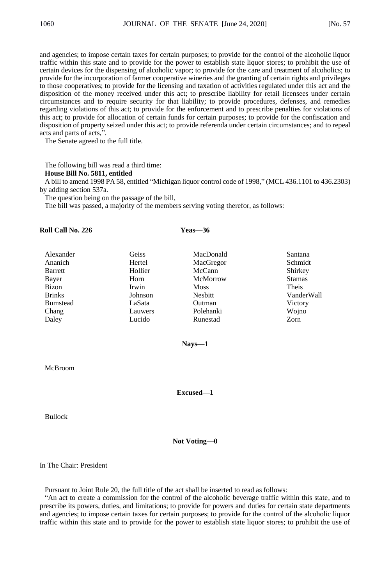and agencies; to impose certain taxes for certain purposes; to provide for the control of the alcoholic liquor traffic within this state and to provide for the power to establish state liquor stores; to prohibit the use of certain devices for the dispensing of alcoholic vapor; to provide for the care and treatment of alcoholics; to provide for the incorporation of farmer cooperative wineries and the granting of certain rights and privileges to those cooperatives; to provide for the licensing and taxation of activities regulated under this act and the disposition of the money received under this act; to prescribe liability for retail licensees under certain circumstances and to require security for that liability; to provide procedures, defenses, and remedies regarding violations of this act; to provide for the enforcement and to prescribe penalties for violations of this act; to provide for allocation of certain funds for certain purposes; to provide for the confiscation and disposition of property seized under this act; to provide referenda under certain circumstances; and to repeal acts and parts of acts,".

The Senate agreed to the full title.

The following bill was read a third time:

### **House Bill No. 5811, entitled**

A bill to amend 1998 PA 58, entitled "Michigan liquor control code of 1998," (MCL 436.1101 to 436.2303) by adding section 537a.

The question being on the passage of the bill,

**Roll Call No. 226 Yeas—36**

The bill was passed, a majority of the members serving voting therefor, as follows:

| Alexander       | Geiss   | MacDonald      | Santana       |
|-----------------|---------|----------------|---------------|
| Ananich         | Hertel  | MacGregor      | Schmidt       |
| <b>Barrett</b>  | Hollier | McCann         | Shirkey       |
| Bayer           | Horn    | McMorrow       | <b>Stamas</b> |
| <b>Bizon</b>    | Irwin   | <b>Moss</b>    | Theis         |
| <b>Brinks</b>   | Johnson | <b>Nesbitt</b> | VanderWall    |
| <b>Bumstead</b> | LaSata  | Outman         | Victory       |
| Chang           | Lauwers | Polehanki      | Wojno         |
| Daley           | Lucido  | Runestad       | Zorn          |
|                 |         |                |               |

**Nays—1**

McBroom

**Excused—1**

Bullock

**Not Voting—0**

In The Chair: President

Pursuant to Joint Rule 20, the full title of the act shall be inserted to read as follows:

"An act to create a commission for the control of the alcoholic beverage traffic within this state, and to prescribe its powers, duties, and limitations; to provide for powers and duties for certain state departments and agencies; to impose certain taxes for certain purposes; to provide for the control of the alcoholic liquor traffic within this state and to provide for the power to establish state liquor stores; to prohibit the use of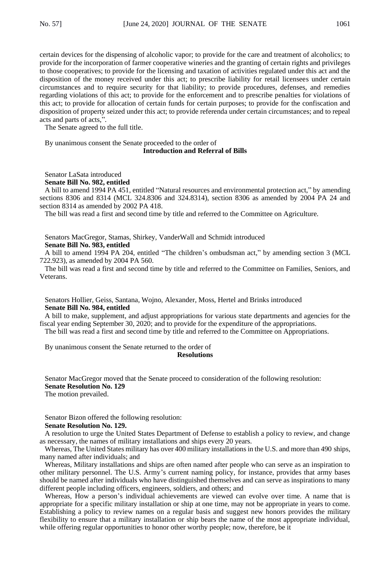certain devices for the dispensing of alcoholic vapor; to provide for the care and treatment of alcoholics; to provide for the incorporation of farmer cooperative wineries and the granting of certain rights and privileges to those cooperatives; to provide for the licensing and taxation of activities regulated under this act and the disposition of the money received under this act; to prescribe liability for retail licensees under certain circumstances and to require security for that liability; to provide procedures, defenses, and remedies regarding violations of this act; to provide for the enforcement and to prescribe penalties for violations of this act; to provide for allocation of certain funds for certain purposes; to provide for the confiscation and disposition of property seized under this act; to provide referenda under certain circumstances; and to repeal acts and parts of acts,'

The Senate agreed to the full title.

By unanimous consent the Senate proceeded to the order of **Introduction and Referral of Bills**

Senator LaSata introduced **Senate Bill No. 982, entitled**

A bill to amend 1994 PA 451, entitled "Natural resources and environmental protection act," by amending sections 8306 and 8314 (MCL 324.8306 and 324.8314), section 8306 as amended by 2004 PA 24 and section 8314 as amended by 2002 PA 418.

The bill was read a first and second time by title and referred to the Committee on Agriculture.

## Senators MacGregor, Stamas, Shirkey, VanderWall and Schmidt introduced **Senate Bill No. 983, entitled**

A bill to amend 1994 PA 204, entitled "The children's ombudsman act," by amending section 3 (MCL 722.923), as amended by 2004 PA 560.

The bill was read a first and second time by title and referred to the Committee on Families, Seniors, and Veterans.

Senators Hollier, Geiss, Santana, Wojno, Alexander, Moss, Hertel and Brinks introduced **Senate Bill No. 984, entitled**

A bill to make, supplement, and adjust appropriations for various state departments and agencies for the fiscal year ending September 30, 2020; and to provide for the expenditure of the appropriations.

The bill was read a first and second time by title and referred to the Committee on Appropriations.

By unanimous consent the Senate returned to the order of

## **Resolutions**

Senator MacGregor moved that the Senate proceed to consideration of the following resolution: **Senate Resolution No. 129** The motion prevailed.

Senator Bizon offered the following resolution:

## **Senate Resolution No. 129.**

A resolution to urge the United States Department of Defense to establish a policy to review, and change as necessary, the names of military installations and ships every 20 years.

Whereas, The United States military has over 400 military installations in the U.S. and more than 490 ships, many named after individuals; and

Whereas, Military installations and ships are often named after people who can serve as an inspiration to other military personnel. The U.S. Army's current naming policy, for instance, provides that army bases should be named after individuals who have distinguished themselves and can serve as inspirations to many different people including officers, engineers, soldiers, and others; and

Whereas, How a person's individual achievements are viewed can evolve over time. A name that is appropriate for a specific military installation or ship at one time, may not be appropriate in years to come. Establishing a policy to review names on a regular basis and suggest new honors provides the military flexibility to ensure that a military installation or ship bears the name of the most appropriate individual, while offering regular opportunities to honor other worthy people; now, therefore, be it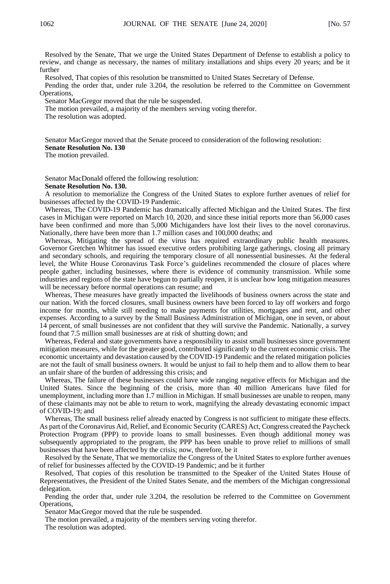Resolved by the Senate, That we urge the United States Department of Defense to establish a policy to review, and change as necessary, the names of military installations and ships every 20 years; and be it further

Resolved, That copies of this resolution be transmitted to United States Secretary of Defense.

Pending the order that, under rule 3.204, the resolution be referred to the Committee on Government Operations,

Senator MacGregor moved that the rule be suspended.

The motion prevailed, a majority of the members serving voting therefor.

The resolution was adopted.

Senator MacGregor moved that the Senate proceed to consideration of the following resolution: **Senate Resolution No. 130**

The motion prevailed.

Senator MacDonald offered the following resolution:

#### **Senate Resolution No. 130.**

A resolution to memorialize the Congress of the United States to explore further avenues of relief for businesses affected by the COVID-19 Pandemic.

Whereas, The COVID-19 Pandemic has dramatically affected Michigan and the United States. The first cases in Michigan were reported on March 10, 2020, and since these initial reports more than 56,000 cases have been confirmed and more than 5,000 Michiganders have lost their lives to the novel coronavirus. Nationally, there have been more than 1.7 million cases and 100,000 deaths; and

Whereas, Mitigating the spread of the virus has required extraordinary public health measures. Governor Gretchen Whitmer has issued executive orders prohibiting large gatherings, closing all primary and secondary schools, and requiring the temporary closure of all nonessential businesses. At the federal level, the White House Coronavirus Task Force's guidelines recommended the closure of places where people gather, including businesses, where there is evidence of community transmission. While some industries and regions of the state have begun to partially reopen, it is unclear how long mitigation measures will be necessary before normal operations can resume; and

Whereas, These measures have greatly impacted the livelihoods of business owners across the state and our nation. With the forced closures, small business owners have been forced to lay off workers and forgo income for months, while still needing to make payments for utilities, mortgages and rent, and other expenses. According to a survey by the Small Business Administration of Michigan, one in seven, or about 14 percent, of small businesses are not confident that they will survive the Pandemic. Nationally, a survey found that 7.5 million small businesses are at risk of shutting down; and

Whereas, Federal and state governments have a responsibility to assist small businesses since government mitigation measures, while for the greater good, contributed significantly to the current economic crisis. The economic uncertainty and devastation caused by the COVID-19 Pandemic and the related mitigation policies are not the fault of small business owners. It would be unjust to fail to help them and to allow them to bear an unfair share of the burden of addressing this crisis; and

Whereas, The failure of these businesses could have wide ranging negative effects for Michigan and the United States. Since the beginning of the crisis, more than 40 million Americans have filed for unemployment, including more than 1.7 million in Michigan. If small businesses are unable to reopen, many of these claimants may not be able to return to work, magnifying the already devastating economic impact of COVID-19; and

Whereas, The small business relief already enacted by Congress is not sufficient to mitigate these effects. As part of the Coronavirus Aid, Relief, and Economic Security (CARES) Act, Congress created the Paycheck Protection Program (PPP) to provide loans to small businesses. Even though additional money was subsequently appropriated to the program, the PPP has been unable to prove relief to millions of small businesses that have been affected by the crisis; now, therefore, be it

Resolved by the Senate, That we memorialize the Congress of the United States to explore further avenues of relief for businesses affected by the COVID-19 Pandemic; and be it further

Resolved, That copies of this resolution be transmitted to the Speaker of the United States House of Representatives, the President of the United States Senate, and the members of the Michigan congressional delegation.

Pending the order that, under rule 3.204, the resolution be referred to the Committee on Government Operations,

Senator MacGregor moved that the rule be suspended.

The motion prevailed, a majority of the members serving voting therefor.

The resolution was adopted.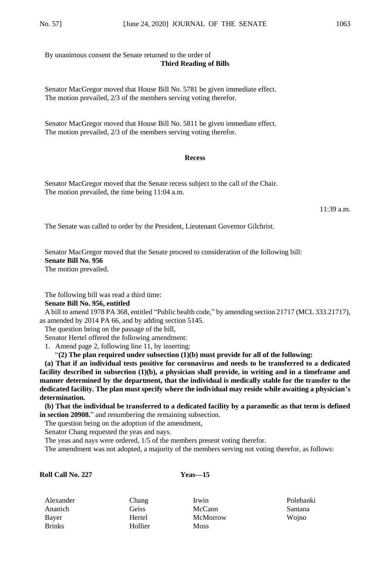By unanimous consent the Senate returned to the order of **Third Reading of Bills**

Senator MacGregor moved that House Bill No. 5781 be given immediate effect. The motion prevailed, 2/3 of the members serving voting therefor.

Senator MacGregor moved that House Bill No. 5811 be given immediate effect. The motion prevailed, 2/3 of the members serving voting therefor.

## **Recess**

Senator MacGregor moved that the Senate recess subject to the call of the Chair. The motion prevailed, the time being 11:04 a.m.

11:39 a.m.

The Senate was called to order by the President, Lieutenant Governor Gilchrist.

Senator MacGregor moved that the Senate proceed to consideration of the following bill: **Senate Bill No. 956** The motion prevailed.

The following bill was read a third time:

**Senate Bill No. 956, entitled**

A bill to amend 1978 PA 368, entitled "Public health code," by amending section 21717 (MCL 333.21717), as amended by 2014 PA 66, and by adding section 5145.

The question being on the passage of the bill,

Senator Hertel offered the following amendment:

1. Amend page 2, following line 11, by inserting:

"**(2) The plan required under subsection (1)(b) must provide for all of the following:**

**(a) That if an individual tests positive for coronavirus and needs to be transferred to a dedicated facility described in subsection (1)(b), a physician shall provide, in writing and in a timeframe and manner determined by the department, that the individual is medically stable for the transfer to the dedicated facility. The plan must specify where the individual may reside while awaiting a physician's determination.**

**(b) That the individual be transferred to a dedicated facility by a paramedic as that term is defined in section 20908.**" and renumbering the remaining subsection.

The question being on the adoption of the amendment,

Senator Chang requested the yeas and nays.

The yeas and nays were ordered, 1/5 of the members present voting therefor.

The amendment was not adopted, a majority of the members serving not voting therefor, as follows:

## **Roll Call No. 227 Yeas—15**

| Alexander     | Chang   | Irwin       | Polehanki      |
|---------------|---------|-------------|----------------|
| Ananich       | Geiss   | McCann      | <b>Santana</b> |
| Bayer         | Hertel  | McMorrow    | Woino          |
| <b>Brinks</b> | Hollier | <b>Moss</b> |                |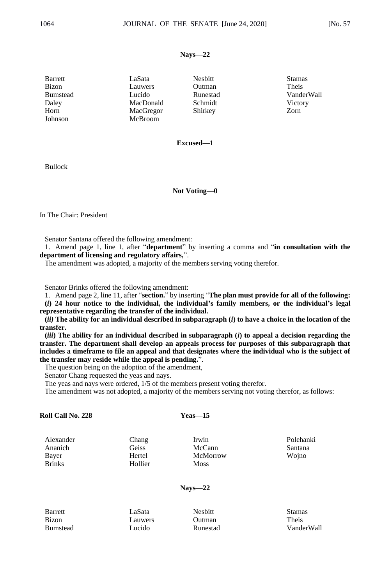### **Nays—22**

| Barrett         | LaSata               | <b>Nesbitt</b> | <b>Stamas</b> |
|-----------------|----------------------|----------------|---------------|
| <b>Bizon</b>    | Lauwers              | Outman         | Theis         |
| <b>Bumstead</b> | Lucido               | Runestad       | VanderWall    |
| Daley           | MacDonald            | Schmidt        | Victory       |
| Horn<br>Johnson | MacGregor<br>McBroom | Shirkey        | Zorn          |

## **Excused—1**

Bullock

## **Not Voting—0**

In The Chair: President

Senator Santana offered the following amendment:

1. Amend page 1, line 1, after "**department**" by inserting a comma and "**in consultation with the department of licensing and regulatory affairs,**".

The amendment was adopted, a majority of the members serving voting therefor.

Senator Brinks offered the following amendment:

1. Amend page 2, line 11, after "**section.**" by inserting "**The plan must provide for all of the following:**

**(***i***) 24 hour notice to the individual, the individual's family members, or the individual's legal representative regarding the transfer of the individual.** 

**(***ii)* **The ability for an individual described in subparagraph (***i***) to have a choice in the location of the transfer.** 

**(***iii***) The ability for an individual described in subparagraph (***i***) to appeal a decision regarding the transfer. The department shall develop an appeals process for purposes of this subparagraph that includes a timeframe to file an appeal and that designates where the individual who is the subject of the transfer may reside while the appeal is pending.**".

The question being on the adoption of the amendment,

Senator Chang requested the yeas and nays.

The yeas and nays were ordered, 1/5 of the members present voting therefor.

The amendment was not adopted, a majority of the members serving not voting therefor, as follows:

| Roll Call No. 228 |  |  |
|-------------------|--|--|
|-------------------|--|--|

#### **Roll Call No. 228 Yeas—15**

Alexander Chang Irwin Polehanki Brinks Hollier Moss

Ananich Geiss McCann Santana Bayer Hertel McMorrow Wojno

**Nays—22**

| Barrett         |
|-----------------|
| Bizon           |
| <b>Bumstead</b> |
|                 |

Barrett LaSata Nesbitt Stamas Bizon Lauwers Outman Theis

Bumstead Lucido Runestad VanderWall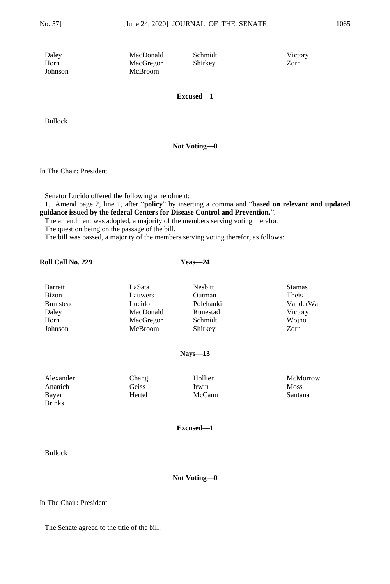Daley MacDonald Schmidt Victory Horn MacGregor Shirkey<br>Johnson McBroom McBroom McBroom

**Excused—1**

Bullock

**Not Voting—0**

In The Chair: President

Senator Lucido offered the following amendment:

1. Amend page 2, line 1, after "**policy**" by inserting a comma and "**based on relevant and updated guidance issued by the federal Centers for Disease Control and Prevention,**".

The amendment was adopted, a majority of the members serving voting therefor. The question being on the passage of the bill,

The bill was passed, a majority of the members serving voting therefor, as follows:

## **Roll Call No. 229 Yeas—24**

| Barrett         | LaSata    | Nesbitt   | <b>Stamas</b> |
|-----------------|-----------|-----------|---------------|
| Bizon           | Lauwers   | Outman    | Theis         |
| <b>Bumstead</b> | Lucido    | Polehanki | VanderWall    |
| Daley           | MacDonald | Runestad  | Victory       |
| Horn            | MacGregor | Schmidt   | Wojno         |
| Johnson         | McBroom   | Shirkey   | Zorn          |
|                 |           |           |               |

## **Nays—13**

| Alexander     | Chang  | Hollier | McMorrow    |
|---------------|--------|---------|-------------|
| Ananich       | Geiss  | Irwin   | <b>Moss</b> |
| Bayer         | Hertel | McCann  | Santana     |
| <b>Rrinks</b> |        |         |             |

## **Excused—1**

Bullock

## **Not Voting—0**

## In The Chair: President

The Senate agreed to the title of the bill.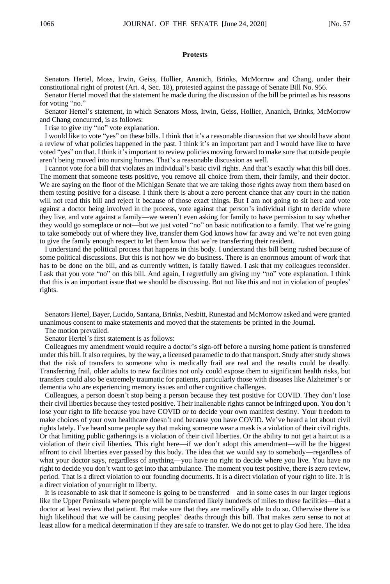### **Protests**

Senators Hertel, Moss, Irwin, Geiss, Hollier, Ananich, Brinks, McMorrow and Chang, under their constitutional right of protest (Art. 4, Sec. 18), protested against the passage of Senate Bill No. 956.

Senator Hertel moved that the statement he made during the discussion of the bill be printed as his reasons for voting "no."

Senator Hertel's statement, in which Senators Moss, Irwin, Geiss, Hollier, Ananich, Brinks, McMorrow and Chang concurred, is as follows:

I rise to give my "no" vote explanation.

I would like to vote "yes" on these bills. I think that it's a reasonable discussion that we should have about a review of what policies happened in the past. I think it's an important part and I would have like to have voted "yes" on that. I think it's important to review policies moving forward to make sure that outside people aren't being moved into nursing homes. That's a reasonable discussion as well.

I cannot vote for a bill that violates an individual's basic civil rights. And that's exactly what this bill does. The moment that someone tests positive, you remove all choice from them, their family, and their doctor. We are saying on the floor of the Michigan Senate that we are taking those rights away from them based on them testing positive for a disease. I think there is about a zero percent chance that any court in the nation will not read this bill and reject it because of those exact things. But I am not going to sit here and vote against a doctor being involved in the process, vote against that person's individual right to decide where they live, and vote against a family—we weren't even asking for family to have permission to say whether they would go someplace or not—but we just voted "no" on basic notification to a family. That we're going to take somebody out of where they live, transfer them God knows how far away and we're not even going to give the family enough respect to let them know that we're transferring their resident.

I understand the political process that happens in this body. I understand this bill being rushed because of some political discussions. But this is not how we do business. There is an enormous amount of work that has to be done on the bill, and as currently written, is fatally flawed. I ask that my colleagues reconsider. I ask that you vote "no" on this bill. And again, I regretfully am giving my "no" vote explanation. I think that this is an important issue that we should be discussing. But not like this and not in violation of peoples' rights.

Senators Hertel, Bayer, Lucido, Santana, Brinks, Nesbitt, Runestad and McMorrow asked and were granted unanimous consent to make statements and moved that the statements be printed in the Journal.

The motion prevailed.

Senator Hertel's first statement is as follows:

Colleagues my amendment would require a doctor's sign-off before a nursing home patient is transferred under this bill. It also requires, by the way, a licensed paramedic to do that transport. Study after study shows that the risk of transfers to someone who is medically frail are real and the results could be deadly. Transferring frail, older adults to new facilities not only could expose them to significant health risks, but transfers could also be extremely traumatic for patients, particularly those with diseases like Alzheimer's or dementia who are experiencing memory issues and other cognitive challenges.

Colleagues, a person doesn't stop being a person because they test positive for COVID. They don't lose their civil liberties because they tested positive. Their inalienable rights cannot be infringed upon. You don't lose your right to life because you have COVID or to decide your own manifest destiny. Your freedom to make choices of your own healthcare doesn't end because you have COVID. We've heard a lot about civil rights lately. I've heard some people say that making someone wear a mask is a violation of their civil rights. Or that limiting public gatherings is a violation of their civil liberties. Or the ability to not get a haircut is a violation of their civil liberties. This right here—if we don't adopt this amendment—will be the biggest affront to civil liberties ever passed by this body. The idea that we would say to somebody—regardless of what your doctor says, regardless of anything—you have no right to decide where you live. You have no right to decide you don't want to get into that ambulance. The moment you test positive, there is zero review, period. That is a direct violation to our founding documents. It is a direct violation of your right to life. It is a direct violation of your right to liberty.

It is reasonable to ask that if someone is going to be transferred—and in some cases in our larger regions like the Upper Peninsula where people will be transferred likely hundreds of miles to these facilities—that a doctor at least review that patient. But make sure that they are medically able to do so. Otherwise there is a high likelihood that we will be causing peoples' deaths through this bill. That makes zero sense to not at least allow for a medical determination if they are safe to transfer. We do not get to play God here. The idea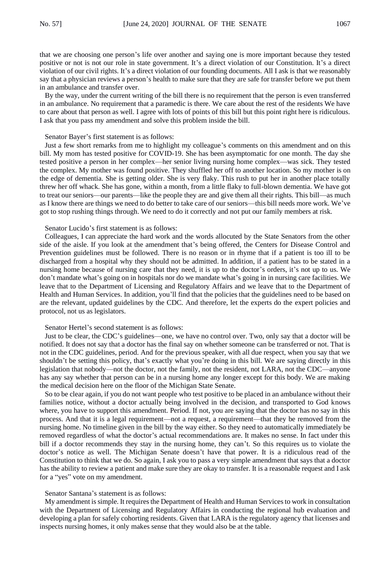that we are choosing one person's life over another and saying one is more important because they tested positive or not is not our role in state government. It's a direct violation of our Constitution. It's a direct violation of our civil rights. It's a direct violation of our founding documents. All I ask is that we reasonably say that a physician reviews a person's health to make sure that they are safe for transfer before we put them in an ambulance and transfer over.

By the way, under the current writing of the bill there is no requirement that the person is even transferred in an ambulance. No requirement that a paramedic is there. We care about the rest of the residents We have to care about that person as well. I agree with lots of points of this bill but this point right here is ridiculous. I ask that you pass my amendment and solve this problem inside the bill.

#### Senator Bayer's first statement is as follows:

Just a few short remarks from me to highlight my colleague's comments on this amendment and on this bill. My mom has tested positive for COVID-19. She has been asymptomatic for one month. The day she tested positive a person in her complex—her senior living nursing home complex—was sick. They tested the complex. My mother was found positive. They shuffled her off to another location. So my mother is on the edge of dementia. She is getting older. She is very flaky. This rush to put her in another place totally threw her off whack. She has gone, within a month, from a little flaky to full-blown dementia. We have got to treat our seniors—our parents—like the people they are and give them all their rights. This bill—as much as I know there are things we need to do better to take care of our seniors—this bill needs more work. We've got to stop rushing things through. We need to do it correctly and not put our family members at risk.

#### Senator Lucido's first statement is as follows:

Colleagues, I can appreciate the hard work and the words allocuted by the State Senators from the other side of the aisle. If you look at the amendment that's being offered, the Centers for Disease Control and Prevention guidelines must be followed. There is no reason or in rhyme that if a patient is too ill to be discharged from a hospital why they should not be admitted. In addition, if a patient has to be stated in a nursing home because of nursing care that they need, it is up to the doctor's orders, it's not up to us. We don't mandate what's going on in hospitals nor do we mandate what's going in in nursing care facilities. We leave that to the Department of Licensing and Regulatory Affairs and we leave that to the Department of Health and Human Services. In addition, you'll find that the policies that the guidelines need to be based on are the relevant, updated guidelines by the CDC. And therefore, let the experts do the expert policies and protocol, not us as legislators.

#### Senator Hertel's second statement is as follows:

Just to be clear, the CDC's guidelines—one, we have no control over. Two, only say that a doctor will be notified. It does not say that a doctor has the final say on whether someone can be transferred or not. That is not in the CDC guidelines, period. And for the previous speaker, with all due respect, when you say that we shouldn't be setting this policy, that's exactly what you're doing in this bill. We are saying directly in this legislation that nobody—not the doctor, not the family, not the resident, not LARA, not the CDC—anyone has any say whether that person can be in a nursing home any longer except for this body. We are making the medical decision here on the floor of the Michigan State Senate.

So to be clear again, if you do not want people who test positive to be placed in an ambulance without their families notice, without a doctor actually being involved in the decision, and transported to God knows where, you have to support this amendment. Period. If not, you are saying that the doctor has no say in this process. And that it is a legal requirement—not a request, a requirement—that they be removed from the nursing home. No timeline given in the bill by the way either. So they need to automatically immediately be removed regardless of what the doctor's actual recommendations are. It makes no sense. In fact under this bill if a doctor recommends they stay in the nursing home, they can't. So this requires us to violate the doctor's notice as well. The Michigan Senate doesn't have that power. It is a ridiculous read of the Constitution to think that we do. So again, I ask you to pass a very simple amendment that says that a doctor has the ability to review a patient and make sure they are okay to transfer. It is a reasonable request and I ask for a "yes" vote on my amendment.

#### Senator Santana's statement is as follows:

My amendment is simple. It requires the Department of Health and Human Services to work in consultation with the Department of Licensing and Regulatory Affairs in conducting the regional hub evaluation and developing a plan for safely cohorting residents. Given that LARA is the regulatory agency that licenses and inspects nursing homes, it only makes sense that they would also be at the table.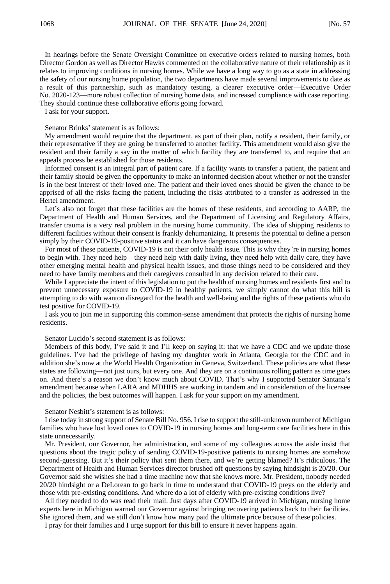In hearings before the Senate Oversight Committee on executive orders related to nursing homes, both Director Gordon as well as Director Hawks commented on the collaborative nature of their relationship as it relates to improving conditions in nursing homes. While we have a long way to go as a state in addressing the safety of our nursing home population, the two departments have made several improvements to date as a result of this partnership, such as mandatory testing, a clearer executive order—Executive Order No. 2020-123—more robust collection of nursing home data, and increased compliance with case reporting. They should continue these collaborative efforts going forward.

I ask for your support.

Senator Brinks' statement is as follows:

My amendment would require that the department, as part of their plan, notify a resident, their family, or their representative if they are going be transferred to another facility. This amendment would also give the resident and their family a say in the matter of which facility they are transferred to, and require that an appeals process be established for those residents.

Informed consent is an integral part of patient care. If a facility wants to transfer a patient, the patient and their family should be given the opportunity to make an informed decision about whether or not the transfer is in the best interest of their loved one. The patient and their loved ones should be given the chance to be apprised of all the risks facing the patient, including the risks attributed to a transfer as addressed in the Hertel amendment.

Let's also not forget that these facilities are the homes of these residents, and according to AARP, the Department of Health and Human Services, and the Department of Licensing and Regulatory Affairs, transfer trauma is a very real problem in the nursing home community. The idea of shipping residents to different facilities without their consent is frankly dehumanizing. It presents the potential to define a person simply by their COVID-19-positive status and it can have dangerous consequences.

For most of these patients, COVID-19 is not their only health issue. This is why they're in nursing homes to begin with. They need help—they need help with daily living, they need help with daily care, they have other emerging mental health and physical health issues, and those things need to be considered and they need to have family members and their caregivers consulted in any decision related to their care.

While I appreciate the intent of this legislation to put the health of nursing homes and residents first and to prevent unnecessary exposure to COVID-19 in healthy patients, we simply cannot do what this bill is attempting to do with wanton disregard for the health and well-being and the rights of these patients who do test positive for COVID-19.

I ask you to join me in supporting this common-sense amendment that protects the rights of nursing home residents.

Senator Lucido's second statement is as follows:

Members of this body, I've said it and I'll keep on saying it: that we have a CDC and we update those guidelines. I've had the privilege of having my daughter work in Atlanta, Georgia for the CDC and in addition she's now at the World Health Organization in Geneva, Switzerland. These policies are what these states are following—not just ours, but every one. And they are on a continuous rolling pattern as time goes on. And there's a reason we don't know much about COVID. That's why I supported Senator Santana's amendment because when LARA and MDHHS are working in tandem and in consideration of the licensee and the policies, the best outcomes will happen. I ask for your support on my amendment.

Senator Nesbitt's statement is as follows:

I rise today in strong support of Senate Bill No. 956. I rise to support the still-unknown number of Michigan families who have lost loved ones to COVID-19 in nursing homes and long-term care facilities here in this state unnecessarily.

Mr. President, our Governor, her administration, and some of my colleagues across the aisle insist that questions about the tragic policy of sending COVID-19-positive patients to nursing homes are somehow second-guessing. But it's their policy that sent them there, and we're getting blamed? It's ridiculous. The Department of Health and Human Services director brushed off questions by saying hindsight is 20/20. Our Governor said she wishes she had a time machine now that she knows more. Mr. President, nobody needed 20/20 hindsight or a DeLorean to go back in time to understand that COVID-19 preys on the elderly and those with pre-existing conditions. And where do a lot of elderly with pre-existing conditions live?

All they needed to do was read their mail. Just days after COVID-19 arrived in Michigan, nursing home experts here in Michigan warned our Governor against bringing recovering patients back to their facilities. She ignored them, and we still don't know how many paid the ultimate price because of these policies.

I pray for their families and I urge support for this bill to ensure it never happens again.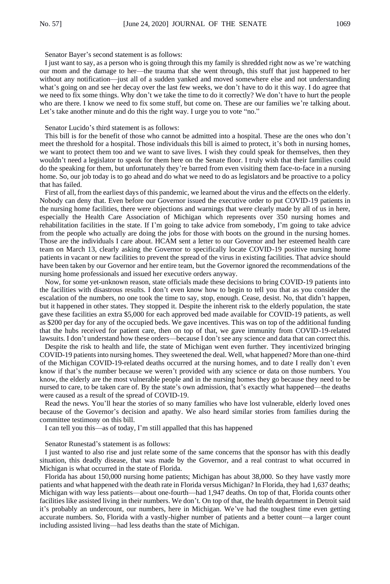Senator Bayer's second statement is as follows:

I just want to say, as a person who is going through this my family is shredded right now as we're watching our mom and the damage to her—the trauma that she went through, this stuff that just happened to her without any notification—just all of a sudden yanked and moved somewhere else and not understanding what's going on and see her decay over the last few weeks, we don't have to do it this way. I do agree that we need to fix some things. Why don't we take the time to do it correctly? We don't have to hurt the people who are there. I know we need to fix some stuff, but come on. These are our families we're talking about. Let's take another minute and do this the right way. I urge you to vote "no."

Senator Lucido's third statement is as follows:

This bill is for the benefit of those who cannot be admitted into a hospital. These are the ones who don't meet the threshold for a hospital. Those individuals this bill is aimed to protect, it's both in nursing homes, we want to protect them too and we want to save lives. I wish they could speak for themselves, then they wouldn't need a legislator to speak for them here on the Senate floor. I truly wish that their families could do the speaking for them, but unfortunately they're barred from even visiting them face-to-face in a nursing home. So, our job today is to go ahead and do what we need to do as legislators and be proactive to a policy that has failed.

First of all, from the earliest days of this pandemic, we learned about the virus and the effects on the elderly. Nobody can deny that. Even before our Governor issued the executive order to put COVID-19 patients in the nursing home facilities, there were objections and warnings that were clearly made by all of us in here, especially the Health Care Association of Michigan which represents over 350 nursing homes and rehabilitation facilities in the state. If I'm going to take advice from somebody, I'm going to take advice from the people who actually are doing the jobs for those with boots on the ground in the nursing homes. Those are the individuals I care about. HCAM sent a letter to our Governor and her esteemed health care team on March 13, clearly asking the Governor to specifically locate COVID-19 positive nursing home patients in vacant or new facilities to prevent the spread of the virus in existing facilities. That advice should have been taken by our Governor and her entire team, but the Governor ignored the recommendations of the nursing home professionals and issued her executive orders anyway.

Now, for some yet-unknown reason, state officials made these decisions to bring COVID-19 patients into the facilities with disastrous results. I don't even know how to begin to tell you that as you consider the escalation of the numbers, no one took the time to say, stop, enough. Cease, desist. No, that didn't happen, but it happened in other states. They stopped it. Despite the inherent risk to the elderly population, the state gave these facilities an extra \$5,000 for each approved bed made available for COVID-19 patients, as well as \$200 per day for any of the occupied beds. We gave incentives. This was on top of the additional funding that the hubs received for patient care, then on top of that, we gave immunity from COVID-19-related lawsuits. I don't understand how these orders—because I don't see any science and data that can correct this.

Despite the risk to health and life, the state of Michigan went even further. They incentivized bringing COVID-19 patients into nursing homes. They sweetened the deal. Well, what happened? More than one-third of the Michigan COVID-19-related deaths occurred at the nursing homes, and to date I really don't even know if that's the number because we weren't provided with any science or data on those numbers. You know, the elderly are the most vulnerable people and in the nursing homes they go because they need to be nursed to care, to be taken care of. By the state's own admission, that's exactly what happened—the deaths were caused as a result of the spread of COVID-19.

Read the news. You'll hear the stories of so many families who have lost vulnerable, elderly loved ones because of the Governor's decision and apathy. We also heard similar stories from families during the committee testimony on this bill.

I can tell you this—as of today, I'm still appalled that this has happened

Senator Runestad's statement is as follows:

I just wanted to also rise and just relate some of the same concerns that the sponsor has with this deadly situation, this deadly disease, that was made by the Governor, and a real contrast to what occurred in Michigan is what occurred in the state of Florida.

Florida has about 150,000 nursing home patients; Michigan has about 38,000. So they have vastly more patients and what happened with the death rate in Florida versus Michigan? In Florida, they had 1,637 deaths; Michigan with way less patients—about one-fourth—had 1,947 deaths. On top of that, Florida counts other facilities like assisted living in their numbers. We don't. On top of that, the health department in Detroit said it's probably an undercount, our numbers, here in Michigan. We've had the toughest time even getting accurate numbers. So, Florida with a vastly-higher number of patients and a better count—a larger count including assisted living—had less deaths than the state of Michigan.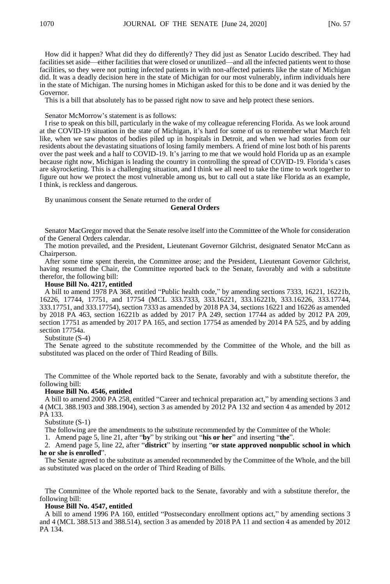How did it happen? What did they do differently? They did just as Senator Lucido described. They had facilities set aside—either facilities that were closed or unutilized—and all the infected patients went to those facilities, so they were not putting infected patients in with non-affected patients like the state of Michigan did. It was a deadly decision here in the state of Michigan for our most vulnerably, infirm individuals here in the state of Michigan. The nursing homes in Michigan asked for this to be done and it was denied by the Governor.

This is a bill that absolutely has to be passed right now to save and help protect these seniors.

Senator McMorrow's statement is as follows:

I rise to speak on this bill, particularly in the wake of my colleague referencing Florida. As we look around at the COVID-19 situation in the state of Michigan, it's hard for some of us to remember what March felt like, when we saw photos of bodies piled up in hospitals in Detroit, and when we had stories from our residents about the devastating situations of losing family members. A friend of mine lost both of his parents over the past week and a half to COVID-19. It's jarring to me that we would hold Florida up as an example because right now, Michigan is leading the country in controlling the spread of COVID-19. Florida's cases are skyrocketing. This is a challenging situation, and I think we all need to take the time to work together to figure out how we protect the most vulnerable among us, but to call out a state like Florida as an example, I think, is reckless and dangerous.

By unanimous consent the Senate returned to the order of

#### **General Orders**

Senator MacGregor moved that the Senate resolve itself into the Committee of the Whole for consideration of the General Orders calendar.

The motion prevailed, and the President, Lieutenant Governor Gilchrist, designated Senator McCann as Chairperson.

After some time spent therein, the Committee arose; and the President, Lieutenant Governor Gilchrist, having resumed the Chair, the Committee reported back to the Senate, favorably and with a substitute therefor, the following bill:

#### **House Bill No. 4217, entitled**

A bill to amend 1978 PA 368, entitled "Public health code," by amending sections 7333, 16221, 16221b, 16226, 17744, 17751, and 17754 (MCL 333.7333, 333.16221, 333.16221b, 333.16226, 333.17744, 333.17751, and 333.17754), section 7333 as amended by 2018 PA 34, sections 16221 and 16226 as amended by 2018 PA 463, section 16221b as added by 2017 PA 249, section 17744 as added by 2012 PA 209, section 17751 as amended by 2017 PA 165, and section 17754 as amended by 2014 PA 525, and by adding section 17754a.

Substitute (S-4)

The Senate agreed to the substitute recommended by the Committee of the Whole, and the bill as substituted was placed on the order of Third Reading of Bills.

The Committee of the Whole reported back to the Senate, favorably and with a substitute therefor, the following bill:

#### **House Bill No. 4546, entitled**

A bill to amend 2000 PA 258, entitled "Career and technical preparation act," by amending sections 3 and 4 (MCL 388.1903 and 388.1904), section 3 as amended by 2012 PA 132 and section 4 as amended by 2012 PA 133.

Substitute (S-1)

The following are the amendments to the substitute recommended by the Committee of the Whole:

1. Amend page 5, line 21, after "**by**" by striking out "**his or her**" and inserting "**the**".

2. Amend page 5, line 22, after "**district**" by inserting "**or state approved nonpublic school in which he or she is enrolled**".

The Senate agreed to the substitute as amended recommended by the Committee of the Whole, and the bill as substituted was placed on the order of Third Reading of Bills.

The Committee of the Whole reported back to the Senate, favorably and with a substitute therefor, the following bill:

#### **House Bill No. 4547, entitled**

A bill to amend 1996 PA 160, entitled "Postsecondary enrollment options act," by amending sections 3 and 4 (MCL 388.513 and 388.514), section 3 as amended by 2018 PA 11 and section 4 as amended by 2012 PA 134.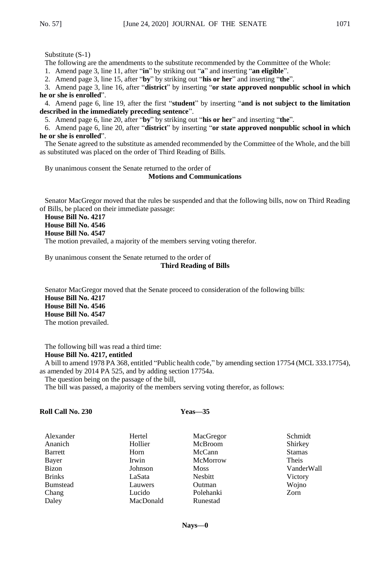The following are the amendments to the substitute recommended by the Committee of the Whole:

1. Amend page 3, line 11, after "**in**" by striking out "**a**" and inserting "**an eligible**".

2. Amend page 3, line 15, after "**by**" by striking out "**his or her**" and inserting "**the**".

3. Amend page 3, line 16, after "**district**" by inserting "**or state approved nonpublic school in which he or she is enrolled**".

4. Amend page 6, line 19, after the first "**student**" by inserting "**and is not subject to the limitation described in the immediately preceding sentence**".

5. Amend page 6, line 20, after "**by**" by striking out "**his or her**" and inserting "**the**".

6. Amend page 6, line 20, after "**district**" by inserting "**or state approved nonpublic school in which he or she is enrolled**".

The Senate agreed to the substitute as amended recommended by the Committee of the Whole, and the bill as substituted was placed on the order of Third Reading of Bills.

By unanimous consent the Senate returned to the order of

#### **Motions and Communications**

Senator MacGregor moved that the rules be suspended and that the following bills, now on Third Reading of Bills, be placed on their immediate passage:

**House Bill No. 4217 House Bill No. 4546 House Bill No. 4547**

The motion prevailed, a majority of the members serving voting therefor.

By unanimous consent the Senate returned to the order of

## **Third Reading of Bills**

Senator MacGregor moved that the Senate proceed to consideration of the following bills: **House Bill No. 4217 House Bill No. 4546 House Bill No. 4547** The motion prevailed.

The following bill was read a third time: **House Bill No. 4217, entitled**

A bill to amend 1978 PA 368, entitled "Public health code," by amending section 17754 (MCL 333.17754), as amended by 2014 PA 525, and by adding section 17754a.

The question being on the passage of the bill,

The bill was passed, a majority of the members serving voting therefor, as follows:

## **Roll Call No. 230 Yeas—35**

| Alexander       | Hertel    | MacGregor   | Schmidt       |
|-----------------|-----------|-------------|---------------|
| Ananich         | Hollier   | McBroom     | Shirkey       |
| Barrett         | Horn      | McCann      | <b>Stamas</b> |
| Bayer           | Irwin     | McMorrow    | Theis         |
| Bizon           | Johnson   | <b>Moss</b> | VanderWall    |
| <b>Brinks</b>   | LaSata    | Nesbitt     | Victory       |
| <b>Bumstead</b> | Lauwers   | Outman      | Wojno         |
| Chang           | Lucido    | Polehanki   | Zorn          |
| Daley           | MacDonald | Runestad    |               |
|                 |           |             |               |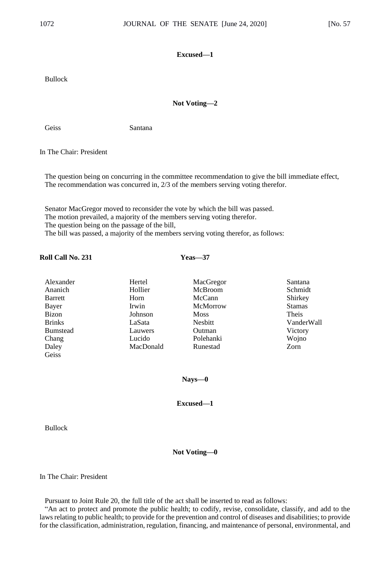## **Excused—1**

Bullock

## **Not Voting—2**

Geiss Santana

In The Chair: President

The question being on concurring in the committee recommendation to give the bill immediate effect, The recommendation was concurred in, 2/3 of the members serving voting therefor.

Senator MacGregor moved to reconsider the vote by which the bill was passed. The motion prevailed, a majority of the members serving voting therefor. The question being on the passage of the bill, The bill was passed, a majority of the members serving voting therefor, as follows:

## **Roll Call No. 231 Yeas—37**

| Alexander       | Hertel    | MacGregor   | Santana       |
|-----------------|-----------|-------------|---------------|
| Ananich         | Hollier   | McBroom     | Schmidt       |
| Barrett         | Horn      | McCann      | Shirkey       |
| Bayer           | Irwin     | McMorrow    | <b>Stamas</b> |
| Bizon           | Johnson   | <b>Moss</b> | Theis         |
| <b>Brinks</b>   | LaSata    | Nesbitt     | VanderWall    |
| <b>Bumstead</b> | Lauwers   | Outman      | Victory       |
| Chang           | Lucido    | Polehanki   | Wojno         |
| Daley           | MacDonald | Runestad    | Zorn          |
| Geiss           |           |             |               |

**Nays—0**

**Excused—1**

Bullock

**Not Voting—0**

In The Chair: President

Pursuant to Joint Rule 20, the full title of the act shall be inserted to read as follows:

"An act to protect and promote the public health; to codify, revise, consolidate, classify, and add to the laws relating to public health; to provide for the prevention and control of diseases and disabilities; to provide for the classification, administration, regulation, financing, and maintenance of personal, environmental, and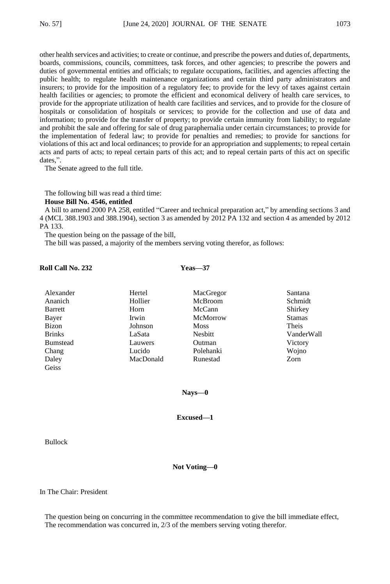other health services and activities; to create or continue, and prescribe the powers and duties of, departments, boards, commissions, councils, committees, task forces, and other agencies; to prescribe the powers and duties of governmental entities and officials; to regulate occupations, facilities, and agencies affecting the public health; to regulate health maintenance organizations and certain third party administrators and insurers; to provide for the imposition of a regulatory fee; to provide for the levy of taxes against certain health facilities or agencies; to promote the efficient and economical delivery of health care services, to provide for the appropriate utilization of health care facilities and services, and to provide for the closure of hospitals or consolidation of hospitals or services; to provide for the collection and use of data and information; to provide for the transfer of property; to provide certain immunity from liability; to regulate and prohibit the sale and offering for sale of drug paraphernalia under certain circumstances; to provide for the implementation of federal law; to provide for penalties and remedies; to provide for sanctions for violations of this act and local ordinances; to provide for an appropriation and supplements; to repeal certain acts and parts of acts; to repeal certain parts of this act; and to repeal certain parts of this act on specific dates,".

The Senate agreed to the full title.

The following bill was read a third time: **House Bill No. 4546, entitled**

A bill to amend 2000 PA 258, entitled "Career and technical preparation act," by amending sections 3 and 4 (MCL 388.1903 and 388.1904), section 3 as amended by 2012 PA 132 and section 4 as amended by 2012 PA 133.

The question being on the passage of the bill,

The bill was passed, a majority of the members serving voting therefor, as follows:

## **Roll Call No. 232 Yeas—37**

| Alexander       | Hertel    | MacGregor   | Santana       |
|-----------------|-----------|-------------|---------------|
| Ananich         | Hollier   | McBroom     | Schmidt       |
| Barrett         | Horn      | McCann      | Shirkey       |
| Bayer           | Irwin     | McMorrow    | <b>Stamas</b> |
| Bizon           | Johnson   | <b>Moss</b> | Theis         |
| <b>Brinks</b>   | LaSata    | Nesbitt     | VanderWall    |
| <b>Bumstead</b> | Lauwers   | Outman      | Victory       |
| Chang           | Lucido    | Polehanki   | Wojno         |
| Daley           | MacDonald | Runestad    | Zorn          |
| Geiss           |           |             |               |

**Nays—0**

**Excused—1**

Bullock

**Not Voting—0**

In The Chair: President

The question being on concurring in the committee recommendation to give the bill immediate effect, The recommendation was concurred in, 2/3 of the members serving voting therefor.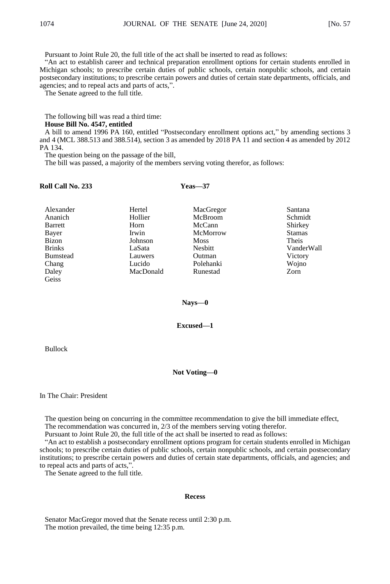Pursuant to Joint Rule 20, the full title of the act shall be inserted to read as follows:

"An act to establish career and technical preparation enrollment options for certain students enrolled in Michigan schools; to prescribe certain duties of public schools, certain nonpublic schools, and certain postsecondary institutions; to prescribe certain powers and duties of certain state departments, officials, and agencies; and to repeal acts and parts of acts,".

The Senate agreed to the full title.

The following bill was read a third time:

## **House Bill No. 4547, entitled**

A bill to amend 1996 PA 160, entitled "Postsecondary enrollment options act," by amending sections 3 and 4 (MCL 388.513 and 388.514), section 3 as amended by 2018 PA 11 and section 4 as amended by 2012 PA 134.

The question being on the passage of the bill,

The bill was passed, a majority of the members serving voting therefor, as follows:

## **Roll Call No. 233 Yeas—37**

| Alexander       | Hertel    | MacGregor   | Santana       |
|-----------------|-----------|-------------|---------------|
| Ananich         | Hollier   | McBroom     | Schmidt       |
| Barrett         | Horn      | McCann      | Shirkey       |
| Bayer           | Irwin     | McMorrow    | <b>Stamas</b> |
| Bizon           | Johnson   | <b>Moss</b> | Theis         |
| <b>Brinks</b>   | LaSata    | Nesbitt     | VanderWall    |
| <b>Bumstead</b> | Lauwers   | Outman      | Victory       |
| Chang           | Lucido    | Polehanki   | Wojno         |
| Daley           | MacDonald | Runestad    | Zorn          |
| Geiss           |           |             |               |

## **Nays—0**

## **Excused—1**

Bullock

## **Not Voting—0**

In The Chair: President

The question being on concurring in the committee recommendation to give the bill immediate effect, The recommendation was concurred in, 2/3 of the members serving voting therefor.

Pursuant to Joint Rule 20, the full title of the act shall be inserted to read as follows:

"An act to establish a postsecondary enrollment options program for certain students enrolled in Michigan schools; to prescribe certain duties of public schools, certain nonpublic schools, and certain postsecondary institutions; to prescribe certain powers and duties of certain state departments, officials, and agencies; and to repeal acts and parts of acts,".

The Senate agreed to the full title.

#### **Recess**

Senator MacGregor moved that the Senate recess until 2:30 p.m. The motion prevailed, the time being 12:35 p.m.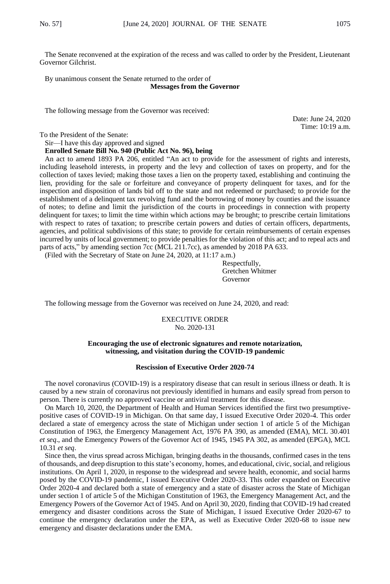The Senate reconvened at the expiration of the recess and was called to order by the President, Lieutenant Governor Gilchrist.

By unanimous consent the Senate returned to the order of **Messages from the Governor**

The following message from the Governor was received:

Date: June 24, 2020 Time: 10:19 a.m.

To the President of the Senate:

Sir—I have this day approved and signed

**Enrolled Senate Bill No. 940 (Public Act No. 96), being**

An act to amend 1893 PA 206, entitled "An act to provide for the assessment of rights and interests, including leasehold interests, in property and the levy and collection of taxes on property, and for the collection of taxes levied; making those taxes a lien on the property taxed, establishing and continuing the lien, providing for the sale or forfeiture and conveyance of property delinquent for taxes, and for the inspection and disposition of lands bid off to the state and not redeemed or purchased; to provide for the establishment of a delinquent tax revolving fund and the borrowing of money by counties and the issuance of notes; to define and limit the jurisdiction of the courts in proceedings in connection with property delinquent for taxes; to limit the time within which actions may be brought; to prescribe certain limitations with respect to rates of taxation; to prescribe certain powers and duties of certain officers, departments, agencies, and political subdivisions of this state; to provide for certain reimbursements of certain expenses incurred by units of local government; to provide penalties for the violation of this act; and to repeal acts and parts of acts," by amending section 7cc (MCL 211.7cc), as amended by 2018 PA 633.

(Filed with the Secretary of State on June 24, 2020, at 11:17 a.m.)

Respectfully, Gretchen Whitmer Governor

The following message from the Governor was received on June 24, 2020, and read:

EXECUTIVE ORDER No. 2020-131

#### **Encouraging the use of electronic signatures and remote notarization, witnessing, and visitation during the COVID-19 pandemic**

#### **Rescission of Executive Order 2020-74**

The novel coronavirus (COVID-19) is a respiratory disease that can result in serious illness or death. It is caused by a new strain of coronavirus not previously identified in humans and easily spread from person to person. There is currently no approved vaccine or antiviral treatment for this disease.

On March 10, 2020, the Department of Health and Human Services identified the first two presumptivepositive cases of COVID-19 in Michigan. On that same day, I issued Executive Order 2020-4. This order declared a state of emergency across the state of Michigan under section 1 of article 5 of the Michigan Constitution of 1963, the Emergency Management Act, 1976 PA 390, as amended (EMA), MCL 30.401 *et seq*., and the Emergency Powers of the Governor Act of 1945, 1945 PA 302, as amended (EPGA), MCL 10.31 *et seq*.

Since then, the virus spread across Michigan, bringing deaths in the thousands, confirmed cases in the tens of thousands, and deep disruption to this state's economy, homes, and educational, civic, social, and religious institutions. On April 1, 2020, in response to the widespread and severe health, economic, and social harms posed by the COVID-19 pandemic, I issued Executive Order 2020-33. This order expanded on Executive Order 2020-4 and declared both a state of emergency and a state of disaster across the State of Michigan under section 1 of article 5 of the Michigan Constitution of 1963, the Emergency Management Act, and the Emergency Powers of the Governor Act of 1945. And on April 30, 2020, finding that COVID-19 had created emergency and disaster conditions across the State of Michigan, I issued Executive Order 2020-67 to continue the emergency declaration under the EPA, as well as Executive Order 2020-68 to issue new emergency and disaster declarations under the EMA.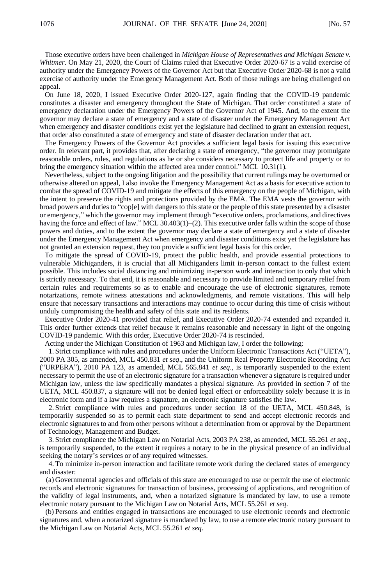Those executive orders have been challenged in *Michigan House of Representatives and Michigan Senate v. Whitmer*. On May 21, 2020, the Court of Claims ruled that Executive Order 2020-67 is a valid exercise of authority under the Emergency Powers of the Governor Act but that Executive Order 2020-68 is not a valid exercise of authority under the Emergency Management Act. Both of those rulings are being challenged on appeal.

On June 18, 2020, I issued Executive Order 2020-127, again finding that the COVID-19 pandemic constitutes a disaster and emergency throughout the State of Michigan. That order constituted a state of emergency declaration under the Emergency Powers of the Governor Act of 1945. And, to the extent the governor may declare a state of emergency and a state of disaster under the Emergency Management Act when emergency and disaster conditions exist yet the legislature had declined to grant an extension request, that order also constituted a state of emergency and state of disaster declaration under that act.

The Emergency Powers of the Governor Act provides a sufficient legal basis for issuing this executive order. In relevant part, it provides that, after declaring a state of emergency, "the governor may promulgate reasonable orders, rules, and regulations as he or she considers necessary to protect life and property or to bring the emergency situation within the affected area under control." MCL 10.31(1).

Nevertheless, subject to the ongoing litigation and the possibility that current rulings may be overturned or otherwise altered on appeal, I also invoke the Emergency Management Act as a basis for executive action to combat the spread of COVID-19 and mitigate the effects of this emergency on the people of Michigan, with the intent to preserve the rights and protections provided by the EMA. The EMA vests the governor with broad powers and duties to "cop[e] with dangers to this state or the people of this state presented by a disaster or emergency," which the governor may implement through "executive orders, proclamations, and directives having the force and effect of law." MCL 30.403(1)–(2). This executive order falls within the scope of those powers and duties, and to the extent the governor may declare a state of emergency and a state of disaster under the Emergency Management Act when emergency and disaster conditions exist yet the legislature has not granted an extension request, they too provide a sufficient legal basis for this order.

To mitigate the spread of COVID-19, protect the public health, and provide essential protections to vulnerable Michiganders, it is crucial that all Michiganders limit in-person contact to the fullest extent possible. This includes social distancing and minimizing in-person work and interaction to only that which is strictly necessary. To that end, it is reasonable and necessary to provide limited and temporary relief from certain rules and requirements so as to enable and encourage the use of electronic signatures, remote notarizations, remote witness attestations and acknowledgments, and remote visitations. This will help ensure that necessary transactions and interactions may continue to occur during this time of crisis without unduly compromising the health and safety of this state and its residents.

Executive Order 2020-41 provided that relief, and Executive Order 2020-74 extended and expanded it. This order further extends that relief because it remains reasonable and necessary in light of the ongoing COVID-19 pandemic. With this order, Executive Order 2020-74 is rescinded.

Acting under the Michigan Constitution of 1963 and Michigan law, I order the following:

1. Strict compliance with rules and procedures under the Uniform Electronic Transactions Act ("UETA"), 2000 PA 305, as amended, MCL 450.831 *et seq*., and the Uniform Real Property Electronic Recording Act ("URPERA"), 2010 PA 123, as amended, MCL 565.841 *et seq*., is temporarily suspended to the extent necessary to permit the use of an electronic signature for a transaction whenever a signature is required under Michigan law, unless the law specifically mandates a physical signature. As provided in section 7 of the UETA, MCL 450.837, a signature will not be denied legal effect or enforceability solely because it is in electronic form and if a law requires a signature, an electronic signature satisfies the law.

2. Strict compliance with rules and procedures under section 18 of the UETA, MCL 450.848, is temporarily suspended so as to permit each state department to send and accept electronic records and electronic signatures to and from other persons without a determination from or approval by the Department of Technology, Management and Budget.

3. Strict compliance the Michigan Law on Notarial Acts, 2003 PA 238, as amended, MCL 55.261 *et seq*., is temporarily suspended, to the extent it requires a notary to be in the physical presence of an individual seeking the notary's services or of any required witnesses.

4. To minimize in-person interaction and facilitate remote work during the declared states of emergency and disaster:

(a) Governmental agencies and officials of this state are encouraged to use or permit the use of electronic records and electronic signatures for transaction of business, processing of applications, and recognition of the validity of legal instruments, and, when a notarized signature is mandated by law, to use a remote electronic notary pursuant to the Michigan Law on Notarial Acts, MCL 55.261 *et seq*.

(b) Persons and entities engaged in transactions are encouraged to use electronic records and electronic signatures and, when a notarized signature is mandated by law, to use a remote electronic notary pursuant to the Michigan Law on Notarial Acts, MCL 55.261 *et seq*.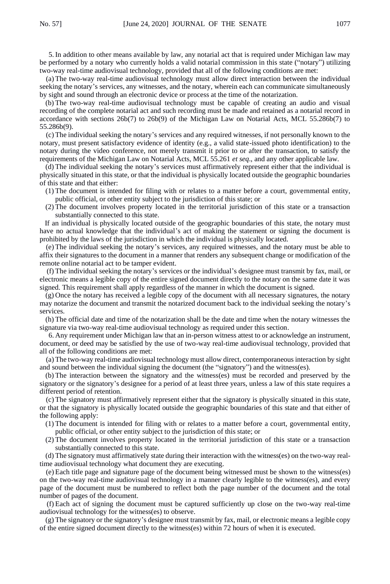5. In addition to other means available by law, any notarial act that is required under Michigan law may be performed by a notary who currently holds a valid notarial commission in this state ("notary") utilizing two-way real-time audiovisual technology, provided that all of the following conditions are met:

(a) The two-way real-time audiovisual technology must allow direct interaction between the individual seeking the notary's services, any witnesses, and the notary, wherein each can communicate simultaneously by sight and sound through an electronic device or process at the time of the notarization.

(b) The two-way real-time audiovisual technology must be capable of creating an audio and visual recording of the complete notarial act and such recording must be made and retained as a notarial record in accordance with sections 26b(7) to 26b(9) of the Michigan Law on Notarial Acts, MCL 55.286b(7) to 55.286b(9).

(c) The individual seeking the notary's services and any required witnesses, if not personally known to the notary, must present satisfactory evidence of identity (e.g., a valid state-issued photo identification) to the notary during the video conference, not merely transmit it prior to or after the transaction, to satisfy the requirements of the Michigan Law on Notarial Acts, MCL 55.261 *et seq*., and any other applicable law.

(d) The individual seeking the notary's services must affirmatively represent either that the individual is physically situated in this state, or that the individual is physically located outside the geographic boundaries of this state and that either:

- (1) The document is intended for filing with or relates to a matter before a court, governmental entity, public official, or other entity subject to the jurisdiction of this state; or
- (2) The document involves property located in the territorial jurisdiction of this state or a transaction substantially connected to this state.

If an individual is physically located outside of the geographic boundaries of this state, the notary must have no actual knowledge that the individual's act of making the statement or signing the document is prohibited by the laws of the jurisdiction in which the individual is physically located.

(e) The individual seeking the notary's services, any required witnesses, and the notary must be able to affix their signatures to the document in a manner that renders any subsequent change or modification of the remote online notarial act to be tamper evident.

(f) The individual seeking the notary's services or the individual's designee must transmit by fax, mail, or electronic means a legible copy of the entire signed document directly to the notary on the same date it was signed. This requirement shall apply regardless of the manner in which the document is signed.

(g) Once the notary has received a legible copy of the document with all necessary signatures, the notary may notarize the document and transmit the notarized document back to the individual seeking the notary's services.

(h) The official date and time of the notarization shall be the date and time when the notary witnesses the signature via two-way real-time audiovisual technology as required under this section.

6. Any requirement under Michigan law that an in-person witness attest to or acknowledge an instrument, document, or deed may be satisfied by the use of two-way real-time audiovisual technology, provided that all of the following conditions are met:

(a) The two-way real-time audiovisual technology must allow direct, contemporaneous interaction by sight and sound between the individual signing the document (the "signatory") and the witness(es).

(b) The interaction between the signatory and the witness(es) must be recorded and preserved by the signatory or the signatory's designee for a period of at least three years, unless a law of this state requires a different period of retention.

(c) The signatory must affirmatively represent either that the signatory is physically situated in this state, or that the signatory is physically located outside the geographic boundaries of this state and that either of the following apply:

- (1) The document is intended for filing with or relates to a matter before a court, governmental entity, public official, or other entity subject to the jurisdiction of this state; or
- (2) The document involves property located in the territorial jurisdiction of this state or a transaction substantially connected to this state.

(d) The signatory must affirmatively state during their interaction with the witness(es) on the two-way realtime audiovisual technology what document they are executing.

(e) Each title page and signature page of the document being witnessed must be shown to the witness(es) on the two-way real-time audiovisual technology in a manner clearly legible to the witness(es), and every page of the document must be numbered to reflect both the page number of the document and the total number of pages of the document.

(f) Each act of signing the document must be captured sufficiently up close on the two-way real-time audiovisual technology for the witness(es) to observe.

(g) The signatory or the signatory's designee must transmit by fax, mail, or electronic means a legible copy of the entire signed document directly to the witness(es) within 72 hours of when it is executed.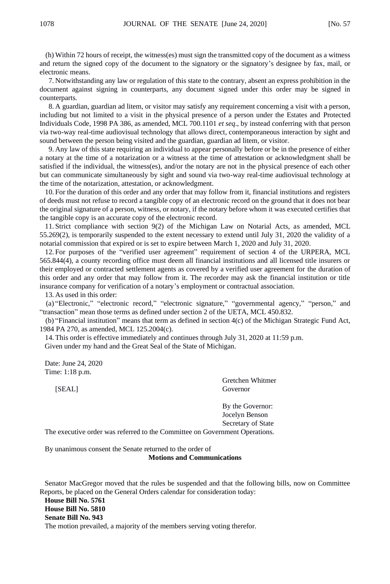(h) Within 72 hours of receipt, the witness(es) must sign the transmitted copy of the document as a witness and return the signed copy of the document to the signatory or the signatory's designee by fax, mail, or electronic means.

7. Notwithstanding any law or regulation of this state to the contrary, absent an express prohibition in the document against signing in counterparts, any document signed under this order may be signed in counterparts.

8. A guardian, guardian ad litem, or visitor may satisfy any requirement concerning a visit with a person, including but not limited to a visit in the physical presence of a person under the Estates and Protected Individuals Code, 1998 PA 386, as amended, MCL 700.1101 *et seq*., by instead conferring with that person via two-way real-time audiovisual technology that allows direct, contemporaneous interaction by sight and sound between the person being visited and the guardian, guardian ad litem, or visitor.

9. Any law of this state requiring an individual to appear personally before or be in the presence of either a notary at the time of a notarization or a witness at the time of attestation or acknowledgment shall be satisfied if the individual, the witness(es), and/or the notary are not in the physical presence of each other but can communicate simultaneously by sight and sound via two-way real-time audiovisual technology at the time of the notarization, attestation, or acknowledgment.

10. For the duration of this order and any order that may follow from it, financial institutions and registers of deeds must not refuse to record a tangible copy of an electronic record on the ground that it does not bear the original signature of a person, witness, or notary, if the notary before whom it was executed certifies that the tangible copy is an accurate copy of the electronic record.

11. Strict compliance with section 9(2) of the Michigan Law on Notarial Acts, as amended, MCL 55.269(2), is temporarily suspended to the extent necessary to extend until July 31, 2020 the validity of a notarial commission that expired or is set to expire between March 1, 2020 and July 31, 2020.

12. For purposes of the "verified user agreement" requirement of section 4 of the URPERA, MCL 565.844(4), a county recording office must deem all financial institutions and all licensed title insurers or their employed or contracted settlement agents as covered by a verified user agreement for the duration of this order and any order that may follow from it. The recorder may ask the financial institution or title insurance company for verification of a notary's employment or contractual association.

13. As used in this order:

(a) "Electronic," "electronic record," "electronic signature," "governmental agency," "person," and "transaction" mean those terms as defined under section 2 of the UETA, MCL 450.832.

(b) "Financial institution" means that term as defined in section 4(c) of the Michigan Strategic Fund Act, 1984 PA 270, as amended, MCL 125.2004(c).

14. This order is effective immediately and continues through July 31, 2020 at 11:59 p.m.

Given under my hand and the Great Seal of the State of Michigan.

Date: June 24, 2020 Time: 1:18 p.m.

Gretchen Whitmer [SEAL] Governor

> By the Governor: Jocelyn Benson Secretary of State

The executive order was referred to the Committee on Government Operations.

By unanimous consent the Senate returned to the order of **Motions and Communications**

Senator MacGregor moved that the rules be suspended and that the following bills, now on Committee Reports, be placed on the General Orders calendar for consideration today:

**House Bill No. 5761 House Bill No. 5810 Senate Bill No. 943** The motion prevailed, a majority of the members serving voting therefor.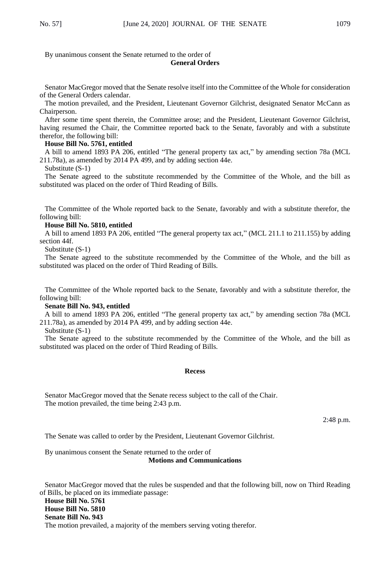By unanimous consent the Senate returned to the order of

## **General Orders**

Senator MacGregor moved that the Senate resolve itself into the Committee of the Whole for consideration of the General Orders calendar.

The motion prevailed, and the President, Lieutenant Governor Gilchrist, designated Senator McCann as Chairperson.

After some time spent therein, the Committee arose; and the President, Lieutenant Governor Gilchrist, having resumed the Chair, the Committee reported back to the Senate, favorably and with a substitute therefor, the following bill:

## **House Bill No. 5761, entitled**

A bill to amend 1893 PA 206, entitled "The general property tax act," by amending section 78a (MCL 211.78a), as amended by 2014 PA 499, and by adding section 44e.

Substitute (S-1)

The Senate agreed to the substitute recommended by the Committee of the Whole, and the bill as substituted was placed on the order of Third Reading of Bills.

The Committee of the Whole reported back to the Senate, favorably and with a substitute therefor, the following bill:

### **House Bill No. 5810, entitled**

A bill to amend 1893 PA 206, entitled "The general property tax act," (MCL 211.1 to 211.155) by adding section 44f.

Substitute (S-1)

The Senate agreed to the substitute recommended by the Committee of the Whole, and the bill as substituted was placed on the order of Third Reading of Bills.

The Committee of the Whole reported back to the Senate, favorably and with a substitute therefor, the following bill:

#### **Senate Bill No. 943, entitled**

A bill to amend 1893 PA 206, entitled "The general property tax act," by amending section 78a (MCL 211.78a), as amended by 2014 PA 499, and by adding section 44e.

Substitute (S-1)

The Senate agreed to the substitute recommended by the Committee of the Whole, and the bill as substituted was placed on the order of Third Reading of Bills.

#### **Recess**

Senator MacGregor moved that the Senate recess subject to the call of the Chair. The motion prevailed, the time being 2:43 p.m.

2:48 p.m.

The Senate was called to order by the President, Lieutenant Governor Gilchrist.

By unanimous consent the Senate returned to the order of **Motions and Communications**

Senator MacGregor moved that the rules be suspended and that the following bill, now on Third Reading of Bills, be placed on its immediate passage:

**House Bill No. 5761 House Bill No. 5810 Senate Bill No. 943** The motion prevailed, a majority of the members serving voting therefor.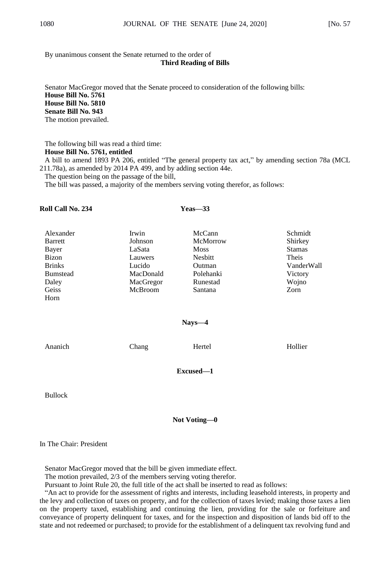By unanimous consent the Senate returned to the order of

## **Third Reading of Bills**

Senator MacGregor moved that the Senate proceed to consideration of the following bills: **House Bill No. 5761 House Bill No. 5810 Senate Bill No. 943** The motion prevailed.

The following bill was read a third time: **House Bill No. 5761, entitled** A bill to amend 1893 PA 206, entitled "The general property tax act," by amending section 78a (MCL

211.78a), as amended by 2014 PA 499, and by adding section 44e.

The question being on the passage of the bill,

The bill was passed, a majority of the members serving voting therefor, as follows:

## **Roll Call No. 234 Yeas—33**

| Alexander       | Irwin     | McCann      | Schmidt       |
|-----------------|-----------|-------------|---------------|
| Barrett         | Johnson   | McMorrow    | Shirkey       |
| Bayer           | LaSata    | <b>Moss</b> | <b>Stamas</b> |
| Bizon           | Lauwers   | Nesbitt     | Theis         |
| <b>Brinks</b>   | Lucido    | Outman      | VanderWall    |
| <b>Bumstead</b> | MacDonald | Polehanki   | Victory       |
| Daley           | MacGregor | Runestad    | Wojno         |
| Geiss           | McBroom   | Santana     | Zorn          |
| Horn            |           |             |               |
|                 |           |             |               |

## **Nays—4**

Ananich Chang Hertel Hollier

**Excused—1**

Bullock

## **Not Voting—0**

## In The Chair: President

Senator MacGregor moved that the bill be given immediate effect.

The motion prevailed, 2/3 of the members serving voting therefor.

Pursuant to Joint Rule 20, the full title of the act shall be inserted to read as follows:

"An act to provide for the assessment of rights and interests, including leasehold interests, in property and the levy and collection of taxes on property, and for the collection of taxes levied; making those taxes a lien on the property taxed, establishing and continuing the lien, providing for the sale or forfeiture and conveyance of property delinquent for taxes, and for the inspection and disposition of lands bid off to the state and not redeemed or purchased; to provide for the establishment of a delinquent tax revolving fund and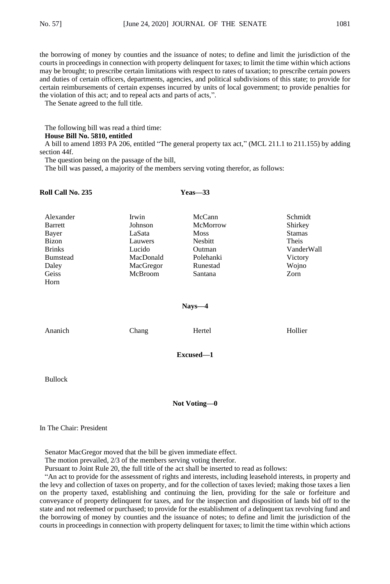the borrowing of money by counties and the issuance of notes; to define and limit the jurisdiction of the courts in proceedings in connection with property delinquent for taxes; to limit the time within which actions may be brought; to prescribe certain limitations with respect to rates of taxation; to prescribe certain powers and duties of certain officers, departments, agencies, and political subdivisions of this state; to provide for certain reimbursements of certain expenses incurred by units of local government; to provide penalties for the violation of this act; and to repeal acts and parts of acts,".

The Senate agreed to the full title.

The following bill was read a third time:

### **House Bill No. 5810, entitled**

A bill to amend 1893 PA 206, entitled "The general property tax act," (MCL 211.1 to 211.155) by adding section 44f.

The question being on the passage of the bill,

The bill was passed, a majority of the members serving voting therefor, as follows:

| <b>Roll Call No. 235</b>                                                                             | Yeas—33                                                                              |                                                                                            |                                                                                        |
|------------------------------------------------------------------------------------------------------|--------------------------------------------------------------------------------------|--------------------------------------------------------------------------------------------|----------------------------------------------------------------------------------------|
| Alexander<br>Barrett<br>Bayer<br>Bizon<br><b>Brinks</b><br><b>Bumstead</b><br>Daley<br>Geiss<br>Horn | Irwin<br>Johnson<br>LaSata<br>Lauwers<br>Lucido<br>MacDonald<br>MacGregor<br>McBroom | McCann<br>McMorrow<br><b>Moss</b><br>Nesbitt<br>Outman<br>Polehanki<br>Runestad<br>Santana | Schmidt<br>Shirkey<br><b>Stamas</b><br>Theis<br>VanderWall<br>Victory<br>Wojno<br>Zorn |
|                                                                                                      |                                                                                      | $Nays - 4$                                                                                 |                                                                                        |
| Ananich                                                                                              | Chang                                                                                | Hertel                                                                                     | Hollier                                                                                |
|                                                                                                      |                                                                                      | Excused-1                                                                                  |                                                                                        |

Bullock

## **Not Voting—0**

In The Chair: President

Senator MacGregor moved that the bill be given immediate effect.

The motion prevailed, 2/3 of the members serving voting therefor.

Pursuant to Joint Rule 20, the full title of the act shall be inserted to read as follows:

"An act to provide for the assessment of rights and interests, including leasehold interests, in property and the levy and collection of taxes on property, and for the collection of taxes levied; making those taxes a lien on the property taxed, establishing and continuing the lien, providing for the sale or forfeiture and conveyance of property delinquent for taxes, and for the inspection and disposition of lands bid off to the state and not redeemed or purchased; to provide for the establishment of a delinquent tax revolving fund and the borrowing of money by counties and the issuance of notes; to define and limit the jurisdiction of the courts in proceedings in connection with property delinquent for taxes; to limit the time within which actions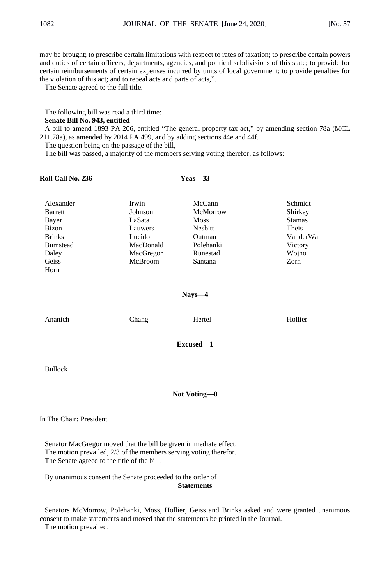may be brought; to prescribe certain limitations with respect to rates of taxation; to prescribe certain powers and duties of certain officers, departments, agencies, and political subdivisions of this state; to provide for certain reimbursements of certain expenses incurred by units of local government; to provide penalties for the violation of this act; and to repeal acts and parts of acts,".

The Senate agreed to the full title.

The following bill was read a third time:

### **Senate Bill No. 943, entitled**

A bill to amend 1893 PA 206, entitled "The general property tax act," by amending section 78a (MCL 211.78a), as amended by 2014 PA 499, and by adding sections 44e and 44f.

The question being on the passage of the bill,

The bill was passed, a majority of the members serving voting therefor, as follows:

## **Roll Call No. 236 Yeas—33**

| Alexander       | Irwin     | McCann      | Schmidt       |
|-----------------|-----------|-------------|---------------|
| <b>Barrett</b>  | Johnson   | McMorrow    | Shirkey       |
| Bayer           | LaSata    | <b>Moss</b> | <b>Stamas</b> |
| Bizon           | Lauwers   | Nesbitt     | Theis         |
| <b>Brinks</b>   | Lucido    | Outman      | VanderWall    |
| <b>Bumstead</b> | MacDonald | Polehanki   | Victory       |
| Daley           | MacGregor | Runestad    | Wojno         |
| Geiss           | McBroom   | Santana     | Zorn          |
| Horn            |           |             |               |

## **Nays—4**

| Ananich        | Chang | Hertel                                                                                     | Hollier |
|----------------|-------|--------------------------------------------------------------------------------------------|---------|
|                |       | Excused-1                                                                                  |         |
| <b>Bullock</b> |       |                                                                                            |         |
|                |       | $\mathbf{v}$ $\mathbf{v}$ $\mathbf{v}$ $\mathbf{v}$ $\mathbf{v}$ $\mathbf{v}$ $\mathbf{v}$ |         |

#### **Not Voting—0**

In The Chair: President

Senator MacGregor moved that the bill be given immediate effect. The motion prevailed, 2/3 of the members serving voting therefor. The Senate agreed to the title of the bill.

By unanimous consent the Senate proceeded to the order of **Statements**

Senators McMorrow, Polehanki, Moss, Hollier, Geiss and Brinks asked and were granted unanimous consent to make statements and moved that the statements be printed in the Journal. The motion prevailed.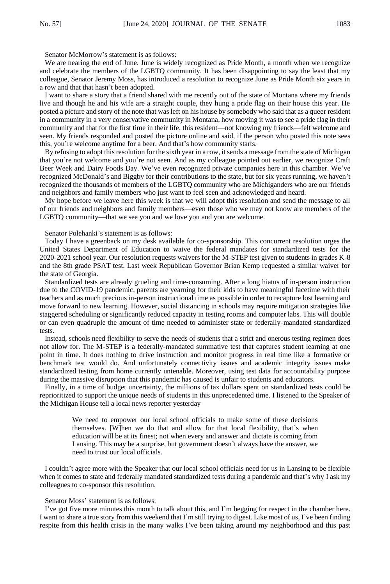Senator McMorrow's statement is as follows:

We are nearing the end of June. June is widely recognized as Pride Month, a month when we recognize and celebrate the members of the LGBTQ community. It has been disappointing to say the least that my colleague, Senator Jeremy Moss, has introduced a resolution to recognize June as Pride Month six years in a row and that that hasn't been adopted.

I want to share a story that a friend shared with me recently out of the state of Montana where my friends live and though he and his wife are a straight couple, they hung a pride flag on their house this year. He posted a picture and story of the note that was left on his house by somebody who said that as a queer resident in a community in a very conservative community in Montana, how moving it was to see a pride flag in their community and that for the first time in their life, this resident—not knowing my friends—felt welcome and seen. My friends responded and posted the picture online and said, if the person who posted this note sees this, you're welcome anytime for a beer. And that's how community starts.

By refusing to adopt this resolution for the sixth year in a row, it sends a message from the state of Michigan that you're not welcome and you're not seen. And as my colleague pointed out earlier, we recognize Craft Beer Week and Dairy Foods Day. We've even recognized private companies here in this chamber. We've recognized McDonald's and Biggby for their contributions to the state, but for six years running, we haven't recognized the thousands of members of the LGBTQ community who are Michiganders who are our friends and neighbors and family members who just want to feel seen and acknowledged and heard.

My hope before we leave here this week is that we will adopt this resolution and send the message to all of our friends and neighbors and family members—even those who we may not know are members of the LGBTQ community—that we see you and we love you and you are welcome.

Senator Polehanki's statement is as follows:

Today I have a greenback on my desk available for co-sponsorship. This concurrent resolution urges the United States Department of Education to waive the federal mandates for standardized tests for the 2020-2021 school year. Our resolution requests waivers for the M-STEP test given to students in grades K-8 and the 8th grade PSAT test. Last week Republican Governor Brian Kemp requested a similar waiver for the state of Georgia.

Standardized tests are already grueling and time-consuming. After a long hiatus of in-person instruction due to the COVID-19 pandemic, parents are yearning for their kids to have meaningful facetime with their teachers and as much precious in-person instructional time as possible in order to recapture lost learning and move forward to new learning. However, social distancing in schools may require mitigation strategies like staggered scheduling or significantly reduced capacity in testing rooms and computer labs. This will double or can even quadruple the amount of time needed to administer state or federally-mandated standardized tests.

Instead, schools need flexibility to serve the needs of students that a strict and onerous testing regimen does not allow for. The M-STEP is a federally-mandated summative test that captures student learning at one point in time. It does nothing to drive instruction and monitor progress in real time like a formative or benchmark test would do. And unfortunately connectivity issues and academic integrity issues make standardized testing from home currently untenable. Moreover, using test data for accountability purpose during the massive disruption that this pandemic has caused is unfair to students and educators.

Finally, in a time of budget uncertainty, the millions of tax dollars spent on standardized tests could be reprioritized to support the unique needs of students in this unprecedented time. I listened to the Speaker of the Michigan House tell a local news reporter yesterday

> We need to empower our local school officials to make some of these decisions themselves. [W]hen we do that and allow for that local flexibility, that's when education will be at its finest; not when every and answer and dictate is coming from Lansing. This may be a surprise, but government doesn't always have the answer, we need to trust our local officials.

I couldn't agree more with the Speaker that our local school officials need for us in Lansing to be flexible when it comes to state and federally mandated standardized tests during a pandemic and that's why I ask my colleagues to co-sponsor this resolution.

## Senator Moss' statement is as follows:

I've got five more minutes this month to talk about this, and I'm begging for respect in the chamber here. I want to share a true story from this weekend that I'm still trying to digest. Like most of us, I've been finding respite from this health crisis in the many walks I've been taking around my neighborhood and this past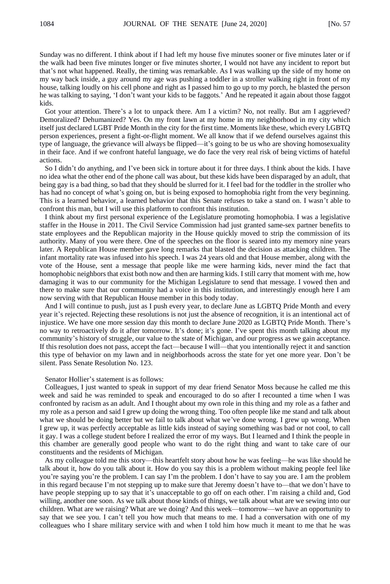Sunday was no different. I think about if I had left my house five minutes sooner or five minutes later or if the walk had been five minutes longer or five minutes shorter, I would not have any incident to report but that's not what happened. Really, the timing was remarkable. As I was walking up the side of my home on my way back inside, a guy around my age was pushing a toddler in a stroller walking right in front of my house, talking loudly on his cell phone and right as I passed him to go up to my porch, he blasted the person he was talking to saying, 'I don't want your kids to be faggots.' And he repeated it again about those faggot kids.

Got your attention. There's a lot to unpack there. Am I a victim? No, not really. But am I aggrieved? Demoralized? Dehumanized? Yes. On my front lawn at my home in my neighborhood in my city which itself just declared LGBT Pride Month in the city for the first time. Moments like these, which every LGBTQ person experiences, present a fight-or-flight moment. We all know that if we defend ourselves against this type of language, the grievance will always be flipped—it's going to be us who are shoving homosexuality in their face. And if we confront hateful language, we do face the very real risk of being victims of hateful actions.

So I didn't do anything, and I've been sick in torture about it for three days. I think about the kids. I have no idea what the other end of the phone call was about, but these kids have been disparaged by an adult, that being gay is a bad thing, so bad that they should be slurred for it. I feel bad for the toddler in the stroller who has had no concept of what's going on, but is being exposed to homophobia right from the very beginning. This is a learned behavior, a learned behavior that this Senate refuses to take a stand on. I wasn't able to confront this man, but I will use this platform to confront this institution.

I think about my first personal experience of the Legislature promoting homophobia. I was a legislative staffer in the House in 2011. The Civil Service Commission had just granted same-sex partner benefits to state employees and the Republican majority in the House quickly moved to strip the commission of its authority. Many of you were there. One of the speeches on the floor is seared into my memory nine years later. A Republican House member gave long remarks that blasted the decision as attacking children. The infant mortality rate was infused into his speech. I was 24 years old and that House member, along with the vote of the House, sent a message that people like me were harming kids, never mind the fact that homophobic neighbors that exist both now and then are harming kids. I still carry that moment with me, how damaging it was to our community for the Michigan Legislature to send that message. I vowed then and there to make sure that our community had a voice in this institution, and interestingly enough here I am now serving with that Republican House member in this body today.

And I will continue to push, just as I push every year, to declare June as LGBTQ Pride Month and every year it's rejected. Rejecting these resolutions is not just the absence of recognition, it is an intentional act of injustice. We have one more session day this month to declare June 2020 as LGBTQ Pride Month. There's no way to retroactively do it after tomorrow. It's done; it's gone. I've spent this month talking about my community's history of struggle, our value to the state of Michigan, and our progress as we gain acceptance. If this resolution does not pass, accept the fact—because I will—that you intentionally reject it and sanction this type of behavior on my lawn and in neighborhoods across the state for yet one more year. Don't be silent. Pass Senate Resolution No. 123.

#### Senator Hollier's statement is as follows:

Colleagues, I just wanted to speak in support of my dear friend Senator Moss because he called me this week and said he was reminded to speak and encouraged to do so after I recounted a time when I was confronted by racism as an adult. And I thought about my own role in this thing and my role as a father and my role as a person and said I grew up doing the wrong thing. Too often people like me stand and talk about what we should be doing better but we fail to talk about what we've done wrong. I grew up wrong. When I grew up, it was perfectly acceptable as little kids instead of saying something was bad or not cool, to call it gay. I was a college student before I realized the error of my ways. But I learned and I think the people in this chamber are generally good people who want to do the right thing and want to take care of our constituents and the residents of Michigan.

As my colleague told me this story—this heartfelt story about how he was feeling—he was like should he talk about it, how do you talk about it. How do you say this is a problem without making people feel like you're saying you're the problem. I can say I'm the problem. I don't have to say you are. I am the problem in this regard because I'm not stepping up to make sure that Jeremy doesn't have to—that we don't have to have people stepping up to say that it's unacceptable to go off on each other. I'm raising a child and, God willing, another one soon. As we talk about those kinds of things, we talk about what are we sewing into our children. What are we raising? What are we doing? And this week—tomorrow—we have an opportunity to say that we see you. I can't tell you how much that means to me. I had a conversation with one of my colleagues who I share military service with and when I told him how much it meant to me that he was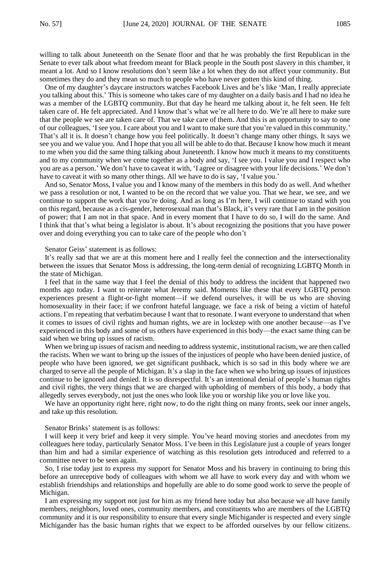willing to talk about Juneteenth on the Senate floor and that he was probably the first Republican in the Senate to ever talk about what freedom meant for Black people in the South post slavery in this chamber, it meant a lot. And so I know resolutions don't seem like a lot when they do not affect your community. But sometimes they do and they mean so much to people who have never gotten this kind of thing.

One of my daughter's daycare instructors watches Facebook Lives and he's like 'Man, I really appreciate you talking about this.' This is someone who takes care of my daughter on a daily basis and I had no idea he was a member of the LGBTQ community. But that day he heard me talking about it, he felt seen. He felt taken care of. He felt appreciated. And I know that's what we're all here to do. We're all here to make sure that the people we see are taken care of. That we take care of them. And this is an opportunity to say to one of our colleagues, 'I see you. I care about you and I want to make sure that you're valued in this community.' That's all it is. It doesn't change how you feel politically. It doesn't change many other things. It says we see you and we value you. And I hope that you all will be able to do that. Because I know how much it meant to me when you did the same thing talking about Juneteenth. I know how much it means to my constituents and to my community when we come together as a body and say, 'I see you. I value you and I respect who you are as a person.' We don't have to caveat it with, 'I agree or disagree with your life decisions.' We don't have to caveat it with so many other things. All we have to do is say, 'I value you.'

And so, Senator Moss, I value you and I know many of the members in this body do as well. And whether we pass a resolution or not, I wanted to be on the record that we value you. That we hear, we see, and we continue to support the work that you're doing. And as long as I'm here, I will continue to stand with you on this regard, because as a cis-gender, heterosexual man that's Black, it's very rare that I am in the position of power; that I am not in that space. And in every moment that I have to do so, I will do the same. And I think that that's what being a legislator is about. It's about recognizing the positions that you have power over and doing everything you can to take care of the people who don't

Senator Geiss' statement is as follows:

It's really sad that we are at this moment here and I really feel the connection and the intersectionality between the issues that Senator Moss is addressing, the long-term denial of recognizing LGBTQ Month in the state of Michigan.

I feel that in the same way that I feel the denial of this body to address the incident that happened two months ago today. I want to reiterate what Jeremy said. Moments like these that every LGBTQ person experiences present a flight-or-fight moment—if we defend ourselves, it will be us who are shoving homosexuality in their face; if we confront hateful language, we face a risk of being a victim of hateful actions. I'm repeating that verbatim because I want that to resonate. I want everyone to understand that when it comes to issues of civil rights and human rights, we are in lockstep with one another because—as I've experienced in this body and some of us others have experienced in this body—the exact same thing can be said when we bring up issues of racism.

When we bring up issues of racism and needing to address systemic, institutional racism, we are then called the racists. When we want to bring up the issues of the injustices of people who have been denied justice, of people who have been ignored, we get significant pushback, which is so sad in this body where we are charged to serve all the people of Michigan. It's a slap in the face when we who bring up issues of injustices continue to be ignored and denied. It is so disrespectful. It's an intentional denial of people's human rights and civil rights, the very things that we are charged with upholding of members of this body, a body that allegedly serves everybody, not just the ones who look like you or worship like you or love like you.

We have an opportunity right here, right now, to do the right thing on many fronts, seek our inner angels, and take up this resolution.

#### Senator Brinks' statement is as follows:

I will keep it very brief and keep it very simple. You've heard moving stories and anecdotes from my colleagues here today, particularly Senator Moss. I've been in this Legislature just a couple of years longer than him and had a similar experience of watching as this resolution gets introduced and referred to a committee never to be seen again.

So, I rise today just to express my support for Senator Moss and his bravery in continuing to bring this before an unreceptive body of colleagues with whom we all have to work every day and with whom we establish friendships and relationships and hopefully are able to do some good work to serve the people of Michigan.

I am expressing my support not just for him as my friend here today but also because we all have family members, neighbors, loved ones, community members, and constituents who are members of the LGBTQ community and it is our responsibility to ensure that every single Michigander is respected and every single Michigander has the basic human rights that we expect to be afforded ourselves by our fellow citizens.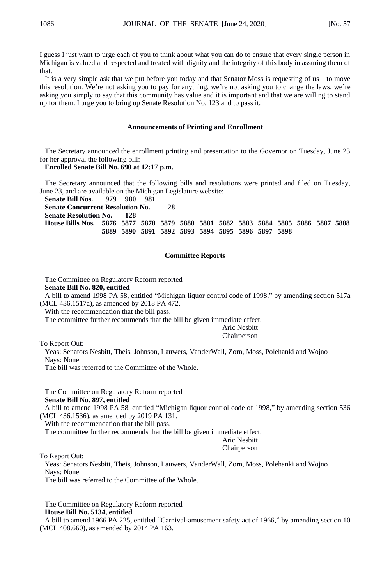I guess I just want to urge each of you to think about what you can do to ensure that every single person in Michigan is valued and respected and treated with dignity and the integrity of this body in assuring them of that.

It is a very simple ask that we put before you today and that Senator Moss is requesting of us—to move this resolution. We're not asking you to pay for anything, we're not asking you to change the laws, we're asking you simply to say that this community has value and it is important and that we are willing to stand up for them. I urge you to bring up Senate Resolution No. 123 and to pass it.

### **Announcements of Printing and Enrollment**

The Secretary announced the enrollment printing and presentation to the Governor on Tuesday, June 23 for her approval the following bill:

#### **Enrolled Senate Bill No. 690 at 12:17 p.m.**

The Secretary announced that the following bills and resolutions were printed and filed on Tuesday, June 23, and are available on the Michigan Legislature website:<br>Senate Bill Nos. 979 980 981

**Senate Bill Nos. 979 980 981 Senate Concurrent Resolution No. 28 Senate Resolution No. House Bills Nos. 5876 5877 5878 5879 5880 5881 5882 5883 5884 5885 5886 5887 5888 5889 5890 5891 5892 5893 5894 5895 5896 5897 5898**

## **Committee Reports**

The Committee on Regulatory Reform reported

**Senate Bill No. 820, entitled**

A bill to amend 1998 PA 58, entitled "Michigan liquor control code of 1998," by amending section 517a (MCL 436.1517a), as amended by 2018 PA 472.

With the recommendation that the bill pass.

The committee further recommends that the bill be given immediate effect.

Aric Nesbitt Chairperson

To Report Out:

Yeas: Senators Nesbitt, Theis, Johnson, Lauwers, VanderWall, Zorn, Moss, Polehanki and Wojno Nays: None

The bill was referred to the Committee of the Whole.

The Committee on Regulatory Reform reported **Senate Bill No. 897, entitled**

A bill to amend 1998 PA 58, entitled "Michigan liquor control code of 1998," by amending section 536 (MCL 436.1536), as amended by 2019 PA 131.

With the recommendation that the bill pass.

The committee further recommends that the bill be given immediate effect.

Aric Nesbitt

Chairperson

To Report Out:

Yeas: Senators Nesbitt, Theis, Johnson, Lauwers, VanderWall, Zorn, Moss, Polehanki and Wojno Nays: None

The bill was referred to the Committee of the Whole.

The Committee on Regulatory Reform reported **House Bill No. 5134, entitled**

A bill to amend 1966 PA 225, entitled "Carnival-amusement safety act of 1966," by amending section 10 (MCL 408.660), as amended by 2014 PA 163.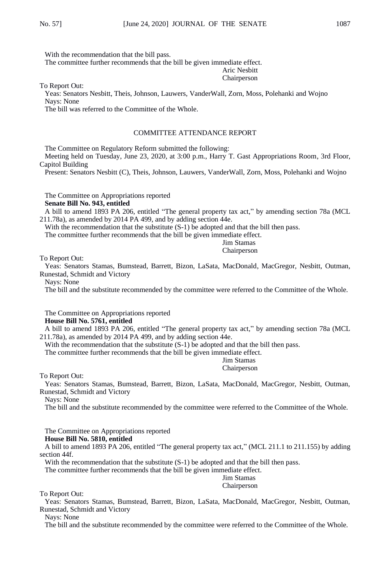With the recommendation that the bill pass.

The committee further recommends that the bill be given immediate effect.

Aric Nesbitt Chairperson

To Report Out:

Yeas: Senators Nesbitt, Theis, Johnson, Lauwers, VanderWall, Zorn, Moss, Polehanki and Wojno Nays: None

The bill was referred to the Committee of the Whole.

## COMMITTEE ATTENDANCE REPORT

The Committee on Regulatory Reform submitted the following:

Meeting held on Tuesday, June 23, 2020, at 3:00 p.m., Harry T. Gast Appropriations Room, 3rd Floor, Capitol Building

Present: Senators Nesbitt (C), Theis, Johnson, Lauwers, VanderWall, Zorn, Moss, Polehanki and Wojno

The Committee on Appropriations reported **Senate Bill No. 943, entitled**

A bill to amend 1893 PA 206, entitled "The general property tax act," by amending section 78a (MCL 211.78a), as amended by 2014 PA 499, and by adding section 44e.

With the recommendation that the substitute  $(S-1)$  be adopted and that the bill then pass.

The committee further recommends that the bill be given immediate effect.

Jim Stamas Chairperson

To Report Out:

Yeas: Senators Stamas, Bumstead, Barrett, Bizon, LaSata, MacDonald, MacGregor, Nesbitt, Outman, Runestad, Schmidt and Victory

Nays: None

The bill and the substitute recommended by the committee were referred to the Committee of the Whole.

The Committee on Appropriations reported **House Bill No. 5761, entitled**

A bill to amend 1893 PA 206, entitled "The general property tax act," by amending section 78a (MCL 211.78a), as amended by 2014 PA 499, and by adding section 44e.

With the recommendation that the substitute  $(S-1)$  be adopted and that the bill then pass.

The committee further recommends that the bill be given immediate effect.

Jim Stamas Chairperson

To Report Out:

Yeas: Senators Stamas, Bumstead, Barrett, Bizon, LaSata, MacDonald, MacGregor, Nesbitt, Outman, Runestad, Schmidt and Victory

Nays: None

The bill and the substitute recommended by the committee were referred to the Committee of the Whole.

The Committee on Appropriations reported

## **House Bill No. 5810, entitled**

A bill to amend 1893 PA 206, entitled "The general property tax act," (MCL 211.1 to 211.155) by adding section 44f.

With the recommendation that the substitute  $(S-1)$  be adopted and that the bill then pass.

The committee further recommends that the bill be given immediate effect.

Jim Stamas Chairperson

To Report Out:

Yeas: Senators Stamas, Bumstead, Barrett, Bizon, LaSata, MacDonald, MacGregor, Nesbitt, Outman, Runestad, Schmidt and Victory

Nays: None

The bill and the substitute recommended by the committee were referred to the Committee of the Whole.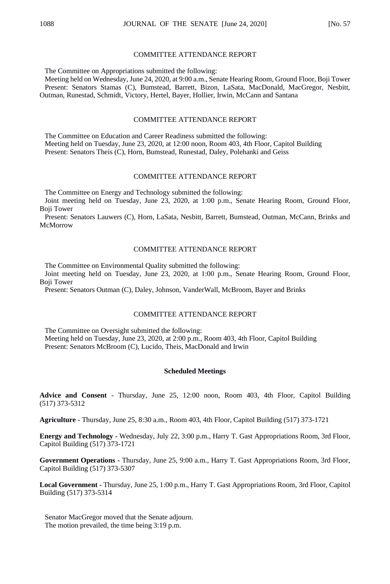#### COMMITTEE ATTENDANCE REPORT

The Committee on Appropriations submitted the following:

Meeting held on Wednesday, June 24, 2020, at 9:00 a.m., Senate Hearing Room, Ground Floor, Boji Tower Present: Senators Stamas (C), Bumstead, Barrett, Bizon, LaSata, MacDonald, MacGregor, Nesbitt, Outman, Runestad, Schmidt, Victory, Hertel, Bayer, Hollier, Irwin, McCann and Santana

## COMMITTEE ATTENDANCE REPORT

The Committee on Education and Career Readiness submitted the following: Meeting held on Tuesday, June 23, 2020, at 12:00 noon, Room 403, 4th Floor, Capitol Building Present: Senators Theis (C), Horn, Bumstead, Runestad, Daley, Polehanki and Geiss

#### COMMITTEE ATTENDANCE REPORT

The Committee on Energy and Technology submitted the following:

Joint meeting held on Tuesday, June 23, 2020, at 1:00 p.m., Senate Hearing Room, Ground Floor, Boji Tower

Present: Senators Lauwers (C), Horn, LaSata, Nesbitt, Barrett, Bumstead, Outman, McCann, Brinks and McMorrow

### COMMITTEE ATTENDANCE REPORT

The Committee on Environmental Quality submitted the following:

Joint meeting held on Tuesday, June 23, 2020, at 1:00 p.m., Senate Hearing Room, Ground Floor, Boji Tower

Present: Senators Outman (C), Daley, Johnson, VanderWall, McBroom, Bayer and Brinks

## COMMITTEE ATTENDANCE REPORT

The Committee on Oversight submitted the following: Meeting held on Tuesday, June 23, 2020, at 2:00 p.m., Room 403, 4th Floor, Capitol Building Present: Senators McBroom (C), Lucido, Theis, MacDonald and Irwin

#### **Scheduled Meetings**

**Advice and Consent** - Thursday, June 25, 12:00 noon, Room 403, 4th Floor, Capitol Building (517) 373-5312

**Agriculture -** Thursday, June 25, 8:30 a.m., Room 403, 4th Floor, Capitol Building (517) 373-1721

**Energy and Technology -** Wednesday, July 22, 3:00 p.m., Harry T. Gast Appropriations Room, 3rd Floor, Capitol Building (517) 373-1721

**Government Operations -** Thursday, June 25, 9:00 a.m., Harry T. Gast Appropriations Room, 3rd Floor, Capitol Building (517) 373-5307

**Local Government -** Thursday, June 25, 1:00 p.m., Harry T. Gast Appropriations Room, 3rd Floor, Capitol Building (517) 373-5314

Senator MacGregor moved that the Senate adjourn. The motion prevailed, the time being 3:19 p.m.